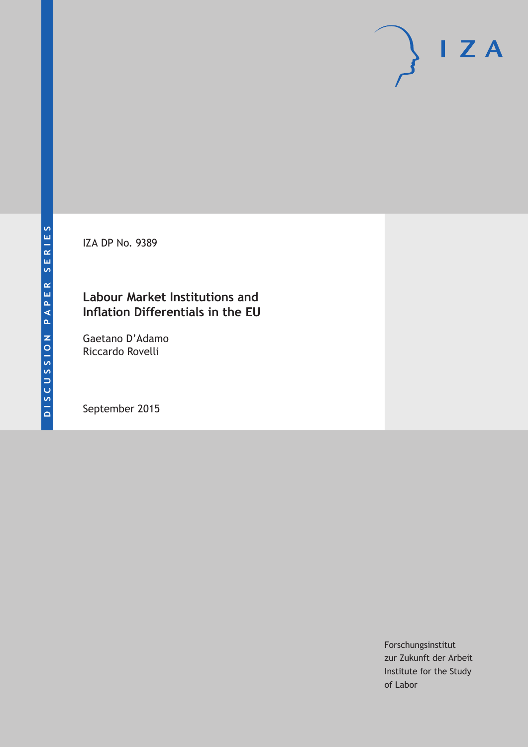IZA DP No. 9389

## **Labour Market Institutions and Inflation Differentials in the EU**

Gaetano D'Adamo Riccardo Rovelli

September 2015

Forschungsinstitut zur Zukunft der Arbeit Institute for the Study of Labor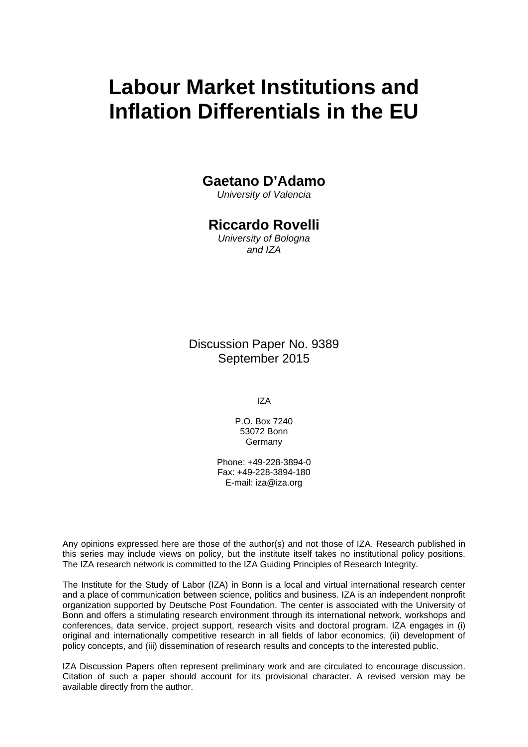# **Labour Market Institutions and Inflation Differentials in the EU**

## **Gaetano D'Adamo**

*University of Valencia* 

## **Riccardo Rovelli**

*University of Bologna and IZA* 

Discussion Paper No. 9389 September 2015

IZA

P.O. Box 7240 53072 Bonn **Germany** 

Phone: +49-228-3894-0 Fax: +49-228-3894-180 E-mail: iza@iza.org

Any opinions expressed here are those of the author(s) and not those of IZA. Research published in this series may include views on policy, but the institute itself takes no institutional policy positions. The IZA research network is committed to the IZA Guiding Principles of Research Integrity.

The Institute for the Study of Labor (IZA) in Bonn is a local and virtual international research center and a place of communication between science, politics and business. IZA is an independent nonprofit organization supported by Deutsche Post Foundation. The center is associated with the University of Bonn and offers a stimulating research environment through its international network, workshops and conferences, data service, project support, research visits and doctoral program. IZA engages in (i) original and internationally competitive research in all fields of labor economics, (ii) development of policy concepts, and (iii) dissemination of research results and concepts to the interested public.

IZA Discussion Papers often represent preliminary work and are circulated to encourage discussion. Citation of such a paper should account for its provisional character. A revised version may be available directly from the author.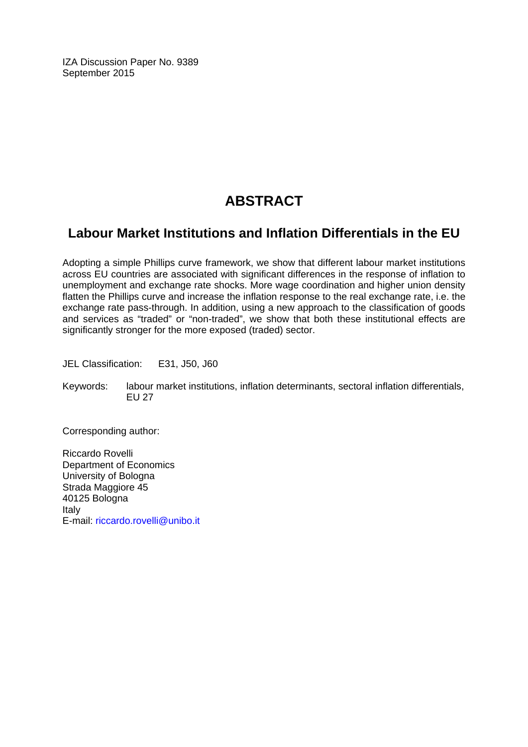IZA Discussion Paper No. 9389 September 2015

## **ABSTRACT**

## **Labour Market Institutions and Inflation Differentials in the EU**

Adopting a simple Phillips curve framework, we show that different labour market institutions across EU countries are associated with significant differences in the response of inflation to unemployment and exchange rate shocks. More wage coordination and higher union density flatten the Phillips curve and increase the inflation response to the real exchange rate, i.e. the exchange rate pass-through. In addition, using a new approach to the classification of goods and services as "traded" or "non-traded", we show that both these institutional effects are significantly stronger for the more exposed (traded) sector.

JEL Classification: E31, J50, J60

Keywords: labour market institutions, inflation determinants, sectoral inflation differentials, EU 27

Corresponding author:

Riccardo Rovelli Department of Economics University of Bologna Strada Maggiore 45 40125 Bologna Italy E-mail: riccardo.rovelli@unibo.it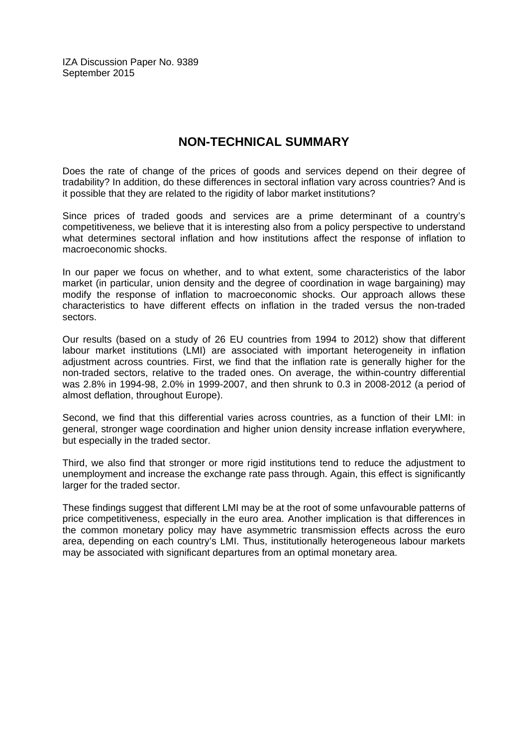IZA Discussion Paper No. 9389 September 2015

## **NON-TECHNICAL SUMMARY**

Does the rate of change of the prices of goods and services depend on their degree of tradability? In addition, do these differences in sectoral inflation vary across countries? And is it possible that they are related to the rigidity of labor market institutions?

Since prices of traded goods and services are a prime determinant of a country's competitiveness, we believe that it is interesting also from a policy perspective to understand what determines sectoral inflation and how institutions affect the response of inflation to macroeconomic shocks.

In our paper we focus on whether, and to what extent, some characteristics of the labor market (in particular, union density and the degree of coordination in wage bargaining) may modify the response of inflation to macroeconomic shocks. Our approach allows these characteristics to have different effects on inflation in the traded versus the non-traded sectors.

Our results (based on a study of 26 EU countries from 1994 to 2012) show that different labour market institutions (LMI) are associated with important heterogeneity in inflation adjustment across countries. First, we find that the inflation rate is generally higher for the non-traded sectors, relative to the traded ones. On average, the within-country differential was 2.8% in 1994-98, 2.0% in 1999-2007, and then shrunk to 0.3 in 2008-2012 (a period of almost deflation, throughout Europe).

Second, we find that this differential varies across countries, as a function of their LMI: in general, stronger wage coordination and higher union density increase inflation everywhere, but especially in the traded sector.

Third, we also find that stronger or more rigid institutions tend to reduce the adjustment to unemployment and increase the exchange rate pass through. Again, this effect is significantly larger for the traded sector.

These findings suggest that different LMI may be at the root of some unfavourable patterns of price competitiveness, especially in the euro area. Another implication is that differences in the common monetary policy may have asymmetric transmission effects across the euro area, depending on each country's LMI. Thus, institutionally heterogeneous labour markets may be associated with significant departures from an optimal monetary area.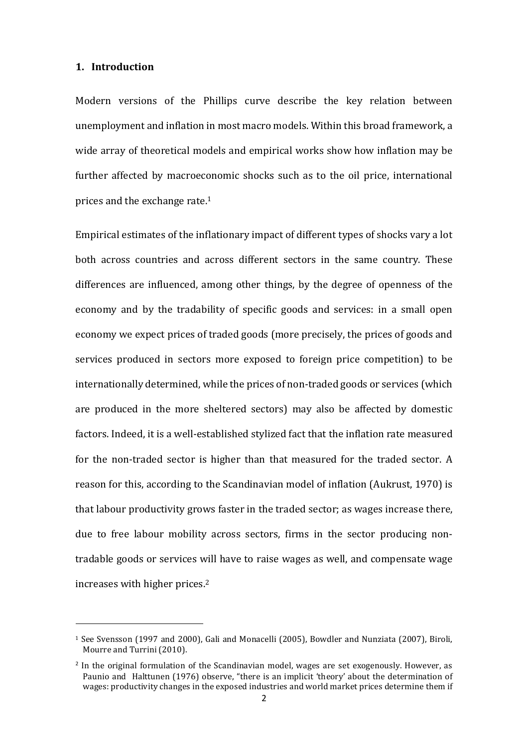#### **1. Introduction**

l

Modern versions of the Phillips curve describe the key relation between unemployment and inflation in most macro models. Within this broad framework, a wide array of theoretical models and empirical works show how inflation may be further affected by macroeconomic shocks such as to the oil price, international prices and the exchange rate.<sup>1</sup>

Empirical estimates of the inflationary impact of different types of shocks vary a lot both across countries and across different sectors in the same country. These differences are influenced, among other things, by the degree of openness of the economy and by the tradability of specific goods and services: in a small open economy we expect prices of traded goods (more precisely, the prices of goods and services produced in sectors more exposed to foreign price competition) to be internationally determined, while the prices of non-traded goods or services (which are produced in the more sheltered sectors) may also be affected by domestic factors. Indeed, it is a well-established stylized fact that the inflation rate measured for the non-traded sector is higher than that measured for the traded sector. A reason for this, according to the Scandinavian model of inflation (Aukrust, 1970) is that labour productivity grows faster in the traded sector; as wages increase there, due to free labour mobility across sectors, firms in the sector producing nontradable goods or services will have to raise wages as well, and compensate wage increases with higher prices.<sup>2</sup>

<sup>1</sup> See Svensson (1997 and 2000), Gali and Monacelli (2005), Bowdler and Nunziata (2007), Biroli, Mourre and Turrini (2010).

<sup>&</sup>lt;sup>2</sup> In the original formulation of the Scandinavian model, wages are set exogenously. However, as Paunio and Halttunen (1976) observe, "there is an implicit 'theory' about the determination of wages: productivity changes in the exposed industries and world market prices determine them if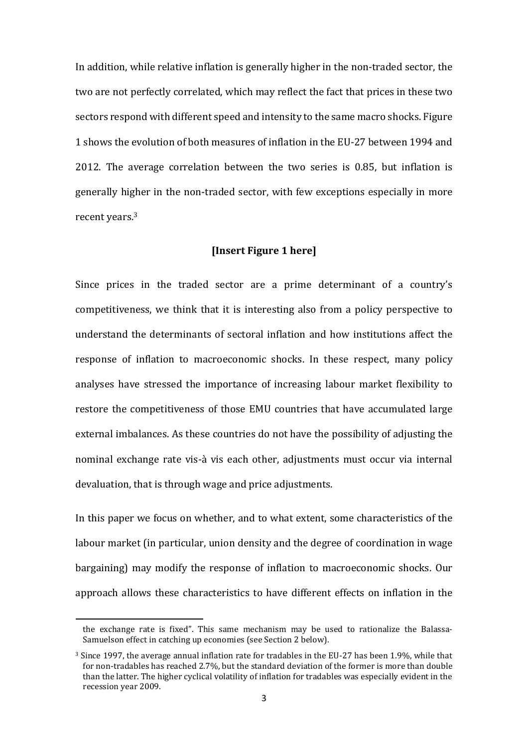In addition, while relative inflation is generally higher in the non-traded sector, the two are not perfectly correlated, which may reflect the fact that prices in these two sectors respond with different speed and intensity to the same macro shocks. Figure 1 shows the evolution of both measures of inflation in the EU-27 between 1994 and 2012. The average correlation between the two series is 0.85, but inflation is generally higher in the non-traded sector, with few exceptions especially in more recent years.<sup>3</sup>

#### **[Insert Figure 1 here]**

Since prices in the traded sector are a prime determinant of a country's competitiveness, we think that it is interesting also from a policy perspective to understand the determinants of sectoral inflation and how institutions affect the response of inflation to macroeconomic shocks. In these respect, many policy analyses have stressed the importance of increasing labour market flexibility to restore the competitiveness of those EMU countries that have accumulated large external imbalances. As these countries do not have the possibility of adjusting the nominal exchange rate vis-à vis each other, adjustments must occur via internal devaluation, that is through wage and price adjustments.

In this paper we focus on whether, and to what extent, some characteristics of the labour market (in particular, union density and the degree of coordination in wage bargaining) may modify the response of inflation to macroeconomic shocks. Our approach allows these characteristics to have different effects on inflation in the

l

the exchange rate is fixed". This same mechanism may be used to rationalize the Balassa-Samuelson effect in catching up economies (see Section 2 below).

 $3$  Since 1997, the average annual inflation rate for tradables in the EU-27 has been 1.9%, while that for non-tradables has reached 2.7%, but the standard deviation of the former is more than double than the latter. The higher cyclical volatility of inflation for tradables was especially evident in the recession year 2009.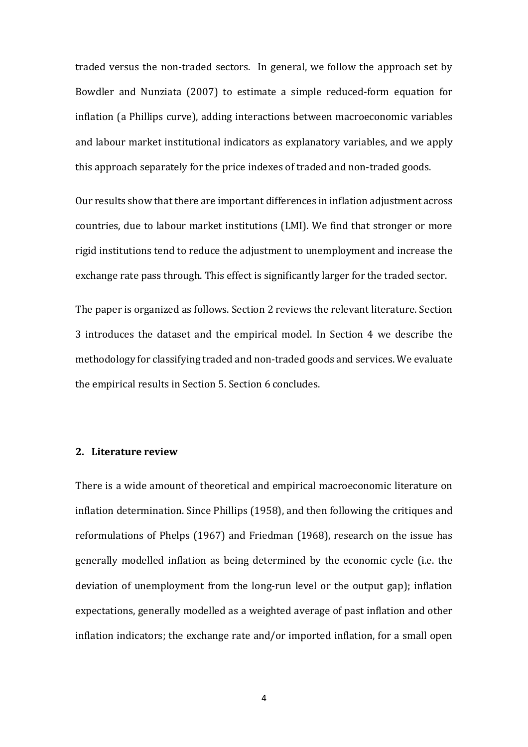traded versus the non-traded sectors. In general, we follow the approach set by Bowdler and Nunziata (2007) to estimate a simple reduced-form equation for inflation (a Phillips curve), adding interactions between macroeconomic variables and labour market institutional indicators as explanatory variables, and we apply this approach separately for the price indexes of traded and non-traded goods.

Our results show that there are important differences in inflation adjustment across countries, due to labour market institutions (LMI). We find that stronger or more rigid institutions tend to reduce the adjustment to unemployment and increase the exchange rate pass through. This effect is significantly larger for the traded sector.

The paper is organized as follows. Section 2 reviews the relevant literature. Section 3 introduces the dataset and the empirical model. In Section 4 we describe the methodology for classifying traded and non-traded goods and services. We evaluate the empirical results in Section 5. Section 6 concludes.

#### **2. Literature review**

There is a wide amount of theoretical and empirical macroeconomic literature on inflation determination. Since Phillips (1958), and then following the critiques and reformulations of Phelps (1967) and Friedman (1968), research on the issue has generally modelled inflation as being determined by the economic cycle (i.e. the deviation of unemployment from the long-run level or the output gap); inflation expectations, generally modelled as a weighted average of past inflation and other inflation indicators; the exchange rate and/or imported inflation, for a small open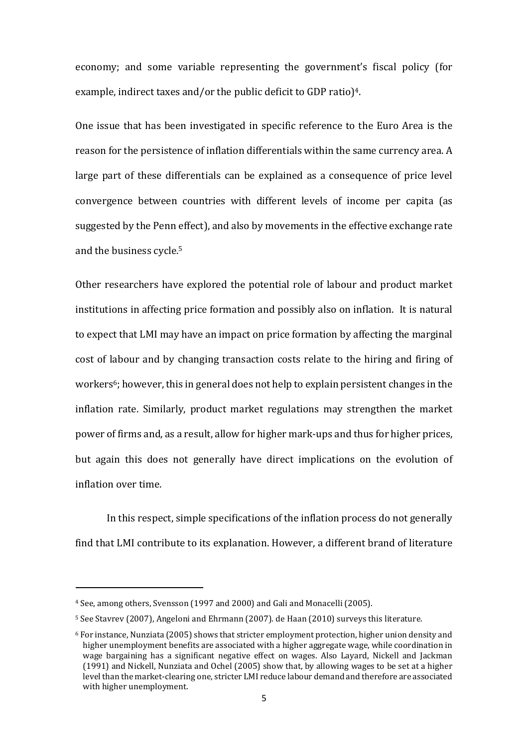economy; and some variable representing the government's fiscal policy (for example, indirect taxes and/or the public deficit to GDP ratio)<sup>4</sup>.

One issue that has been investigated in specific reference to the Euro Area is the reason for the persistence of inflation differentials within the same currency area. A large part of these differentials can be explained as a consequence of price level convergence between countries with different levels of income per capita (as suggested by the Penn effect), and also by movements in the effective exchange rate and the business cycle.<sup>5</sup>

Other researchers have explored the potential role of labour and product market institutions in affecting price formation and possibly also on inflation. It is natural to expect that LMI may have an impact on price formation by affecting the marginal cost of labour and by changing transaction costs relate to the hiring and firing of workers<sup>6</sup>; however, this in general does not help to explain persistent changes in the inflation rate. Similarly, product market regulations may strengthen the market power of firms and, as a result, allow for higher mark-ups and thus for higher prices, but again this does not generally have direct implications on the evolution of inflation over time.

 In this respect, simple specifications of the inflation process do not generally find that LMI contribute to its explanation. However, a different brand of literature

 $\overline{\phantom{a}}$ 

<sup>4</sup> See, among others, Svensson (1997 and 2000) and Gali and Monacelli (2005).

<sup>5</sup> See Stavrev (2007), Angeloni and Ehrmann (2007). de Haan (2010) surveys this literature.

<sup>6</sup> For instance, Nunziata (2005) shows that stricter employment protection, higher union density and higher unemployment benefits are associated with a higher aggregate wage, while coordination in wage bargaining has a significant negative effect on wages. Also Layard, Nickell and Jackman (1991) and Nickell, Nunziata and Ochel (2005) show that, by allowing wages to be set at a higher level than the market-clearing one, stricter LMI reduce labour demand and therefore are associated with higher unemployment.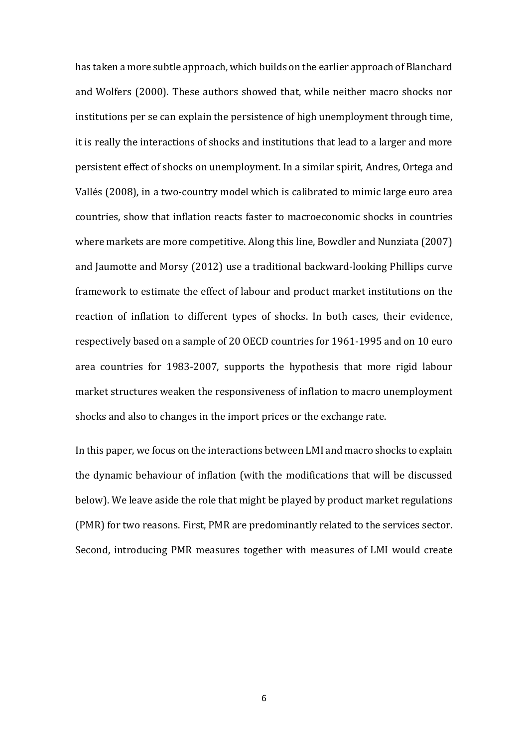has taken a more subtle approach, which builds on the earlier approach of Blanchard and Wolfers (2000). These authors showed that, while neither macro shocks nor institutions per se can explain the persistence of high unemployment through time, it is really the interactions of shocks and institutions that lead to a larger and more persistent effect of shocks on unemployment. In a similar spirit, Andres, Ortega and Vallés (2008), in a two-country model which is calibrated to mimic large euro area countries, show that inflation reacts faster to macroeconomic shocks in countries where markets are more competitive. Along this line, Bowdler and Nunziata (2007) and Jaumotte and Morsy (2012) use a traditional backward-looking Phillips curve framework to estimate the effect of labour and product market institutions on the reaction of inflation to different types of shocks. In both cases, their evidence, respectively based on a sample of 20 OECD countries for 1961-1995 and on 10 euro area countries for 1983-2007, supports the hypothesis that more rigid labour market structures weaken the responsiveness of inflation to macro unemployment shocks and also to changes in the import prices or the exchange rate.

In this paper, we focus on the interactions between LMI and macro shocks to explain the dynamic behaviour of inflation (with the modifications that will be discussed below). We leave aside the role that might be played by product market regulations (PMR) for two reasons. First, PMR are predominantly related to the services sector. Second, introducing PMR measures together with measures of LMI would create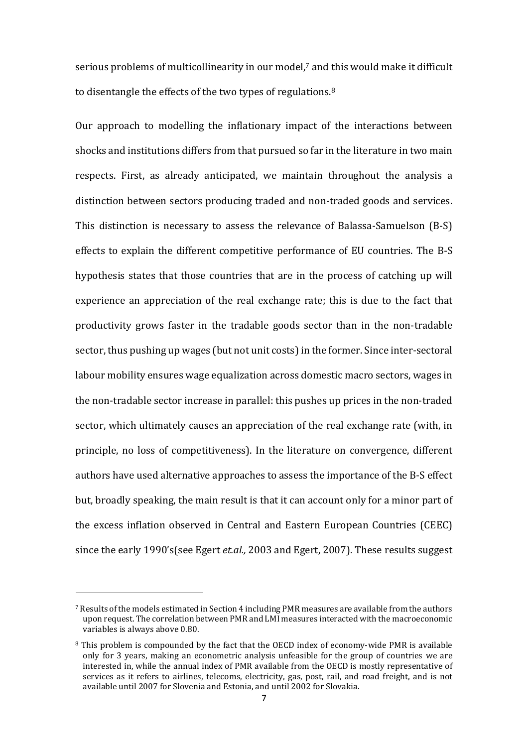serious problems of multicollinearity in our model,7 and this would make it difficult to disentangle the effects of the two types of regulations.<sup>8</sup>

Our approach to modelling the inflationary impact of the interactions between shocks and institutions differs from that pursued so far in the literature in two main respects. First, as already anticipated, we maintain throughout the analysis a distinction between sectors producing traded and non-traded goods and services. This distinction is necessary to assess the relevance of Balassa-Samuelson (B-S) effects to explain the different competitive performance of EU countries. The B-S hypothesis states that those countries that are in the process of catching up will experience an appreciation of the real exchange rate; this is due to the fact that productivity grows faster in the tradable goods sector than in the non-tradable sector, thus pushing up wages (but not unit costs) in the former. Since inter-sectoral labour mobility ensures wage equalization across domestic macro sectors, wages in the non-tradable sector increase in parallel: this pushes up prices in the non-traded sector, which ultimately causes an appreciation of the real exchange rate (with, in principle, no loss of competitiveness). In the literature on convergence, different authors have used alternative approaches to assess the importance of the B-S effect but, broadly speaking, the main result is that it can account only for a minor part of the excess inflation observed in Central and Eastern European Countries (CEEC) since the early 1990's(see Egert *et.al.,* 2003 and Egert, 2007). These results suggest

 $\overline{\phantom{a}}$ 

<sup>7</sup> Results of the models estimated in Section 4 including PMR measures are available from the authors upon request. The correlation between PMR and LMI measures interacted with the macroeconomic variables is always above 0.80.

<sup>8</sup> This problem is compounded by the fact that the OECD index of economy-wide PMR is available only for 3 years, making an econometric analysis unfeasible for the group of countries we are interested in, while the annual index of PMR available from the OECD is mostly representative of services as it refers to airlines, telecoms, electricity, gas, post, rail, and road freight, and is not available until 2007 for Slovenia and Estonia, and until 2002 for Slovakia.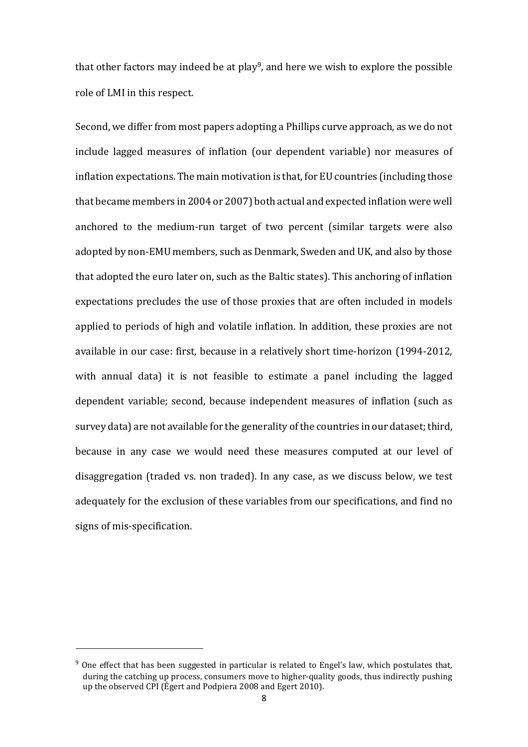that other factors may indeed be at play<sup>9</sup>, and here we wish to explore the possible role of LMI in this respect.

Second, we differ from most papers adopting a Phillips curve approach, as we do not include lagged measures of inflation (our dependent variable) nor measures of inflation expectations. The main motivation is that, for EU countries (including those that became members in 2004 or 2007) both actual and expected inflation were well anchored to the medium-run target of two percent (similar targets were also adopted by non-EMU members, such as Denmark, Sweden and UK, and also by those that adopted the euro later on, such as the Baltic states). This anchoring of inflation expectations precludes the use of those proxies that are often included in models applied to periods of high and volatile inflation. In addition, these proxies are not available in our case: first, because in a relatively short time-horizon (1994-2012, with annual data) it is not feasible to estimate a panel including the lagged dependent variable; second, because independent measures of inflation (such as survey data) are not available for the generality of the countries in our dataset; third, because in any case we would need these measures computed at our level of disaggregation (traded vs. non traded). In any case, as we discuss below, we test adequately for the exclusion of these variables from our specifications, and find no signs of mis-specification.

 $9$  One effect that has been suggested in particular is related to Engel's law, which postulates that, during the catching up process, consumers move to higher-quality goods, thus indirectly pushing up the observed CPI (Égert and Podpiera 2008 and Egert 2010).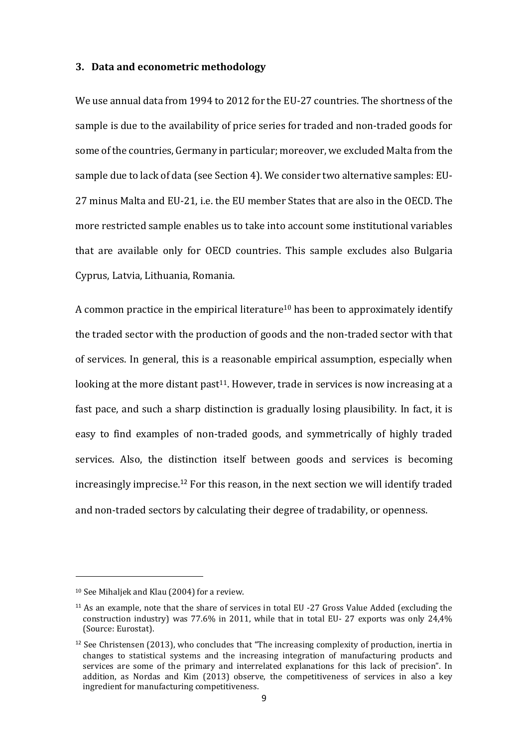#### **3. Data and econometric methodology**

We use annual data from 1994 to 2012 for the EU-27 countries. The shortness of the sample is due to the availability of price series for traded and non-traded goods for some of the countries, Germany in particular; moreover, we excluded Malta from the sample due to lack of data (see Section 4). We consider two alternative samples: EU-27 minus Malta and EU-21, i.e. the EU member States that are also in the OECD. The more restricted sample enables us to take into account some institutional variables that are available only for OECD countries. This sample excludes also Bulgaria Cyprus, Latvia, Lithuania, Romania.

A common practice in the empirical literature<sup>10</sup> has been to approximately identify the traded sector with the production of goods and the non-traded sector with that of services. In general, this is a reasonable empirical assumption, especially when looking at the more distant past<sup>11</sup>. However, trade in services is now increasing at a fast pace, and such a sharp distinction is gradually losing plausibility. In fact, it is easy to find examples of non-traded goods, and symmetrically of highly traded services. Also, the distinction itself between goods and services is becoming increasingly imprecise.<sup>12</sup> For this reason, in the next section we will identify traded and non-traded sectors by calculating their degree of tradability, or openness.

 $\overline{\phantom{a}}$ 

<sup>10</sup> See Mihaljek and Klau (2004) for a review.

<sup>11</sup> As an example, note that the share of services in total EU -27 Gross Value Added (excluding the construction industry) was 77.6% in 2011, while that in total EU- 27 exports was only 24,4% (Source: Eurostat).

 $12$  See Christensen (2013), who concludes that "The increasing complexity of production, inertia in changes to statistical systems and the increasing integration of manufacturing products and services are some of the primary and interrelated explanations for this lack of precision". In addition, as Nordas and Kim (2013) observe, the competitiveness of services in also a key ingredient for manufacturing competitiveness.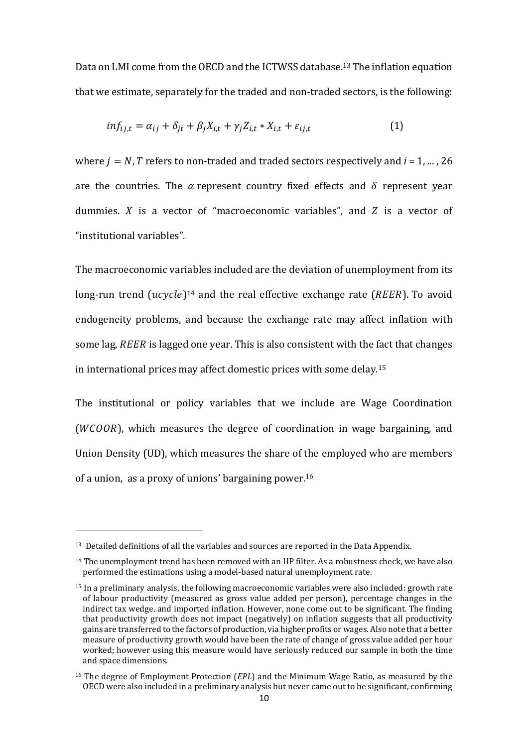Data on LMI come from the OECD and the ICTWSS database.13 The inflation equation that we estimate, separately for the traded and non-traded sectors, is the following:

$$
inf_{ij,t} = \alpha_{ij} + \delta_{jt} + \beta_j X_{i,t} + \gamma_j Z_{i,t} * X_{i,t} + \varepsilon_{ij,t}
$$
\n(1)

where  $i = N$ , T refers to non-traded and traded sectors respectively and  $i = 1, ..., 26$ are the countries. The  $\alpha$  represent country fixed effects and  $\delta$  represent year dummies.  $X$  is a vector of "macroeconomic variables", and  $Z$  is a vector of "institutional variables".

The macroeconomic variables included are the deviation of unemployment from its long-run trend  $(ucycle)^{14}$  and the real effective exchange rate  $(REER)$ . To avoid endogeneity problems, and because the exchange rate may affect inflation with some lag, REER is lagged one year. This is also consistent with the fact that changes in international prices may affect domestic prices with some delay.<sup>15</sup>

The institutional or policy variables that we include are Wage Coordination ( $WCOOR$ ), which measures the degree of coordination in wage bargaining, and Union Density (UD), which measures the share of the employed who are members of a union, as a proxy of unions' bargaining power. 16

l

<sup>13</sup> Detailed definitions of all the variables and sources are reported in the Data Appendix.

 $14$  The unemployment trend has been removed with an HP filter. As a robustness check, we have also performed the estimations using a model-based natural unemployment rate.

<sup>15</sup> In a preliminary analysis, the following macroeconomic variables were also included: growth rate of labour productivity (measured as gross value added per person), percentage changes in the indirect tax wedge, and imported inflation. However, none come out to be significant. The finding that productivity growth does not impact (negatively) on inflation suggests that all productivity gains are transferred to the factors of production, via higher profits or wages. Also note that a better measure of productivity growth would have been the rate of change of gross value added per hour worked; however using this measure would have seriously reduced our sample in both the time and space dimensions.

<sup>16</sup> The degree of Employment Protection (*EPL*) and the Minimum Wage Ratio, as measured by the OECD were also included in a preliminary analysis but never came out to be significant, confirming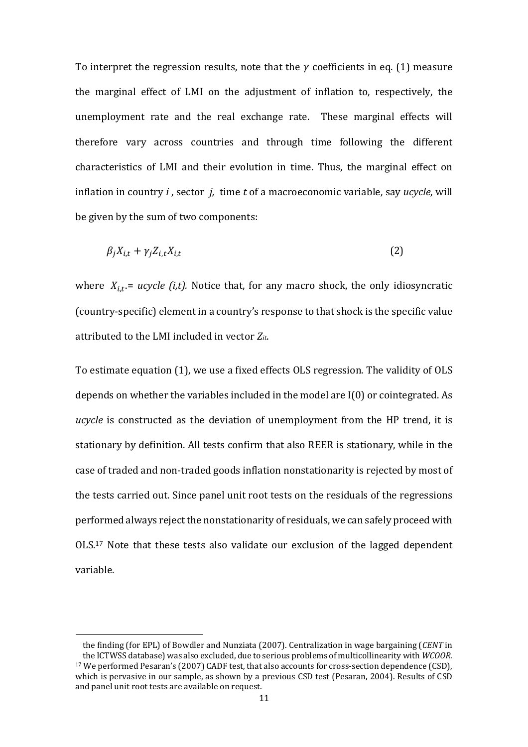To interpret the regression results, note that the  $\nu$  coefficients in eq. (1) measure the marginal effect of LMI on the adjustment of inflation to, respectively, the unemployment rate and the real exchange rate. These marginal effects will therefore vary across countries and through time following the different characteristics of LMI and their evolution in time. Thus, the marginal effect on inflation in country *i* , sector *j,* time *t* of a macroeconomic variable, say *ucycle*, will be given by the sum of two components:

$$
\beta_j X_{i,t} + \gamma_j Z_{i,t} X_{i,t} \tag{2}
$$

where  $X_{i,t}$  = *ucycle (i,t).* Notice that, for any macro shock, the only idiosyncratic (country-specific) element in a country's response to that shock is the specific value attributed to the LMI included in vector *Zit*.

To estimate equation (1), we use a fixed effects OLS regression. The validity of OLS depends on whether the variables included in the model are I(0) or cointegrated. As *ucycle* is constructed as the deviation of unemployment from the HP trend, it is stationary by definition. All tests confirm that also REER is stationary, while in the case of traded and non-traded goods inflation nonstationarity is rejected by most of the tests carried out. Since panel unit root tests on the residuals of the regressions performed always reject the nonstationarity of residuals, we can safely proceed with OLS.17 Note that these tests also validate our exclusion of the lagged dependent variable.

the finding (for EPL) of Bowdler and Nunziata (2007). Centralization in wage bargaining (*CENT* in the ICTWSS database) was also excluded, due to serious problems of multicollinearity with *WCOOR*. <sup>17</sup> We performed Pesaran's (2007) CADF test, that also accounts for cross-section dependence (CSD), which is pervasive in our sample, as shown by a previous CSD test (Pesaran, 2004). Results of CSD and panel unit root tests are available on request.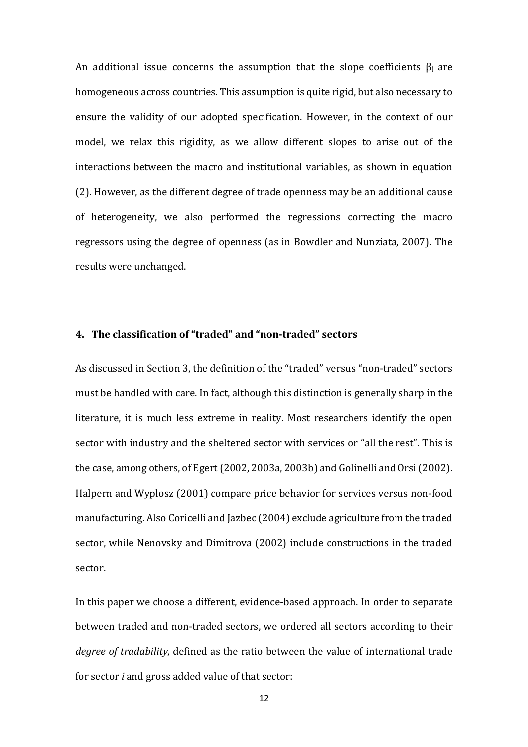An additional issue concerns the assumption that the slope coefficients  $\beta_i$  are homogeneous across countries. This assumption is quite rigid, but also necessary to ensure the validity of our adopted specification. However, in the context of our model, we relax this rigidity, as we allow different slopes to arise out of the interactions between the macro and institutional variables, as shown in equation (2). However, as the different degree of trade openness may be an additional cause of heterogeneity, we also performed the regressions correcting the macro regressors using the degree of openness (as in Bowdler and Nunziata, 2007). The results were unchanged.

#### **4. The classification of "traded" and "non-traded" sectors**

As discussed in Section 3, the definition of the "traded" versus "non-traded" sectors must be handled with care. In fact, although this distinction is generally sharp in the literature, it is much less extreme in reality. Most researchers identify the open sector with industry and the sheltered sector with services or "all the rest". This is the case, among others, of Egert (2002, 2003a, 2003b) and Golinelli and Orsi (2002). Halpern and Wyplosz (2001) compare price behavior for services versus non-food manufacturing. Also Coricelli and Jazbec (2004) exclude agriculture from the traded sector, while Nenovsky and Dimitrova (2002) include constructions in the traded sector.

In this paper we choose a different, evidence-based approach. In order to separate between traded and non-traded sectors, we ordered all sectors according to their *degree of tradability*, defined as the ratio between the value of international trade for sector *i* and gross added value of that sector: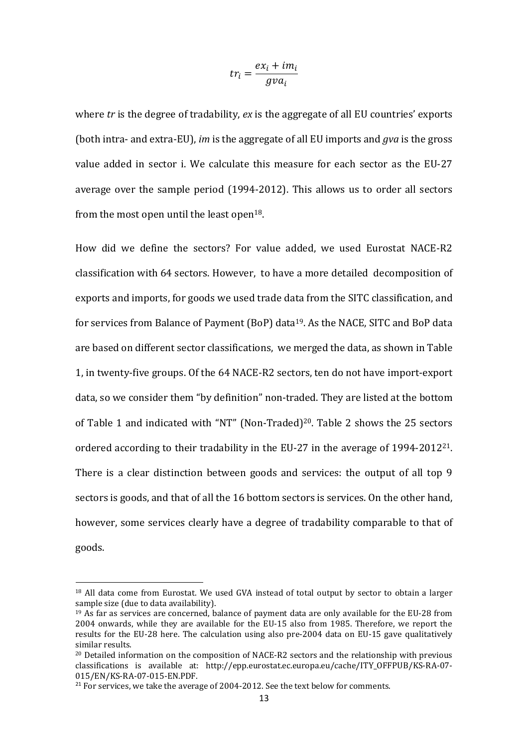$$
tr_i = \frac{ex_i + im_i}{gva_i}
$$

where *tr* is the degree of tradability, *ex* is the aggregate of all EU countries' exports (both intra- and extra-EU), *im* is the aggregate of all EU imports and *gva* is the gross value added in sector i. We calculate this measure for each sector as the EU-27 average over the sample period (1994-2012). This allows us to order all sectors from the most open until the least open<sup>18</sup>.

How did we define the sectors? For value added, we used Eurostat NACE-R2 classification with 64 sectors. However, to have a more detailed decomposition of exports and imports, for goods we used trade data from the SITC classification, and for services from Balance of Payment (BoP) data<sup>19</sup>. As the NACE, SITC and BoP data are based on different sector classifications, we merged the data, as shown in Table 1, in twenty-five groups. Of the 64 NACE-R2 sectors, ten do not have import-export data, so we consider them "by definition" non-traded. They are listed at the bottom of Table 1 and indicated with "NT" (Non-Traded)20. Table 2 shows the 25 sectors ordered according to their tradability in the EU-27 in the average of 1994-201221. There is a clear distinction between goods and services: the output of all top 9 sectors is goods, and that of all the 16 bottom sectors is services. On the other hand, however, some services clearly have a degree of tradability comparable to that of goods.

 $\overline{\phantom{a}}$ 

<sup>&</sup>lt;sup>18</sup> All data come from Eurostat. We used GVA instead of total output by sector to obtain a larger sample size (due to data availability).

<sup>&</sup>lt;sup>19</sup> As far as services are concerned, balance of payment data are only available for the EU-28 from 2004 onwards, while they are available for the EU-15 also from 1985. Therefore, we report the results for the EU-28 here. The calculation using also pre-2004 data on EU-15 gave qualitatively similar results.

 $20$  Detailed information on the composition of NACE-R2 sectors and the relationship with previous classifications is available at: http://epp.eurostat.ec.europa.eu/cache/ITY\_OFFPUB/KS-RA-07- 015/EN/KS-RA-07-015-EN.PDF.

 $21$  For services, we take the average of 2004-2012. See the text below for comments.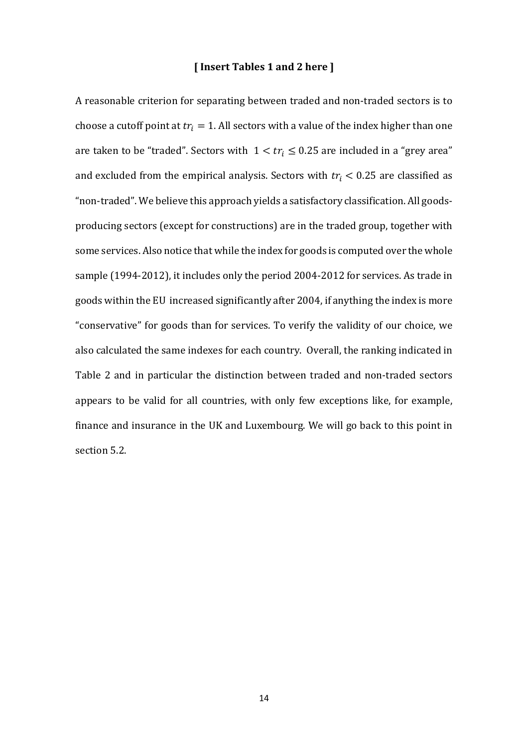#### **[ Insert Tables 1 and 2 here ]**

A reasonable criterion for separating between traded and non-traded sectors is to choose a cutoff point at  $tr_i = 1$ . All sectors with a value of the index higher than one are taken to be "traded". Sectors with  $1 < tr_i \leq 0.25$  are included in a "grey area" and excluded from the empirical analysis. Sectors with  $tr_i < 0.25$  are classified as "non-traded". We believe this approach yields a satisfactory classification. All goodsproducing sectors (except for constructions) are in the traded group, together with some services. Also notice that while the index for goods is computed over the whole sample (1994-2012), it includes only the period 2004-2012 for services. As trade in goods within the EU increased significantly after 2004, if anything the index is more "conservative" for goods than for services. To verify the validity of our choice, we also calculated the same indexes for each country. Overall, the ranking indicated in Table 2 and in particular the distinction between traded and non-traded sectors appears to be valid for all countries, with only few exceptions like, for example, finance and insurance in the UK and Luxembourg. We will go back to this point in section 5.2.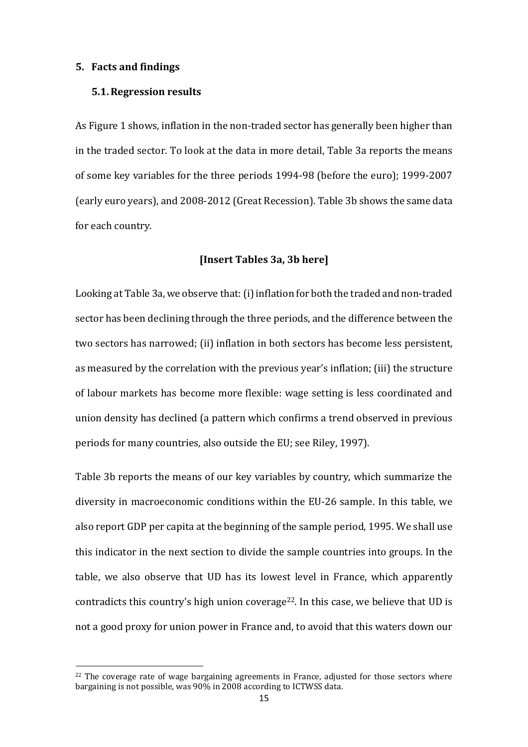#### **5. Facts and findings**

#### **5.1.Regression results**

As Figure 1 shows, inflation in the non-traded sector has generally been higher than in the traded sector. To look at the data in more detail, Table 3a reports the means of some key variables for the three periods 1994-98 (before the euro); 1999-2007 (early euro years), and 2008-2012 (Great Recession). Table 3b shows the same data for each country.

#### **[Insert Tables 3a, 3b here]**

Looking at Table 3a, we observe that: (i) inflation for both the traded and non-traded sector has been declining through the three periods, and the difference between the two sectors has narrowed; (ii) inflation in both sectors has become less persistent, as measured by the correlation with the previous year's inflation; (iii) the structure of labour markets has become more flexible: wage setting is less coordinated and union density has declined (a pattern which confirms a trend observed in previous periods for many countries, also outside the EU; see Riley, 1997).

Table 3b reports the means of our key variables by country, which summarize the diversity in macroeconomic conditions within the EU-26 sample. In this table, we also report GDP per capita at the beginning of the sample period, 1995. We shall use this indicator in the next section to divide the sample countries into groups. In the table, we also observe that UD has its lowest level in France, which apparently contradicts this country's high union coverage<sup>22</sup>. In this case, we believe that UD is not a good proxy for union power in France and, to avoid that this waters down our

 $22$  The coverage rate of wage bargaining agreements in France, adjusted for those sectors where bargaining is not possible, was 90% in 2008 according to ICTWSS data.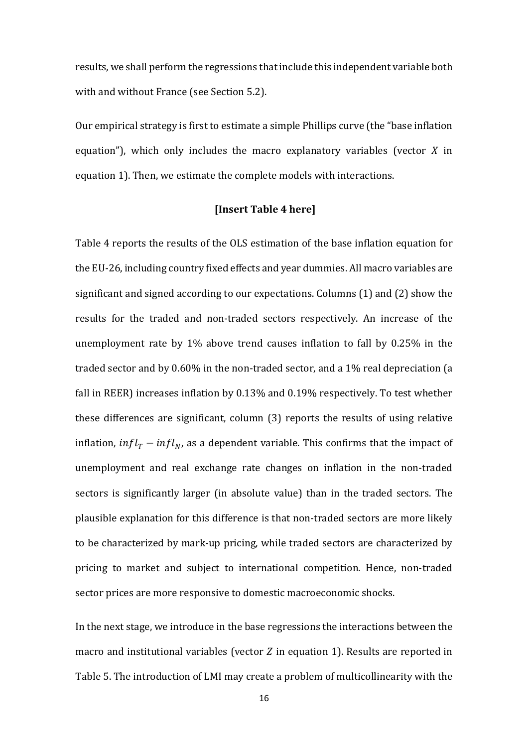results, we shall perform the regressions that include this independent variable both with and without France (see Section 5.2).

Our empirical strategy is first to estimate a simple Phillips curve (the "base inflation equation"), which only includes the macro explanatory variables (vector  $X$  in equation 1). Then, we estimate the complete models with interactions.

#### **[Insert Table 4 here]**

Table 4 reports the results of the OLS estimation of the base inflation equation for the EU-26, including country fixed effects and year dummies. All macro variables are significant and signed according to our expectations. Columns (1) and (2) show the results for the traded and non-traded sectors respectively. An increase of the unemployment rate by 1% above trend causes inflation to fall by 0.25% in the traded sector and by 0.60% in the non-traded sector, and a 1% real depreciation (a fall in REER) increases inflation by 0.13% and 0.19% respectively. To test whether these differences are significant, column (3) reports the results of using relative inflation,  $\inf l_{T}-\inf l_{N}$ , as a dependent variable. This confirms that the impact of unemployment and real exchange rate changes on inflation in the non-traded sectors is significantly larger (in absolute value) than in the traded sectors. The plausible explanation for this difference is that non-traded sectors are more likely to be characterized by mark-up pricing, while traded sectors are characterized by pricing to market and subject to international competition. Hence, non-traded sector prices are more responsive to domestic macroeconomic shocks.

In the next stage, we introduce in the base regressions the interactions between the macro and institutional variables (vector  $Z$  in equation 1). Results are reported in Table 5. The introduction of LMI may create a problem of multicollinearity with the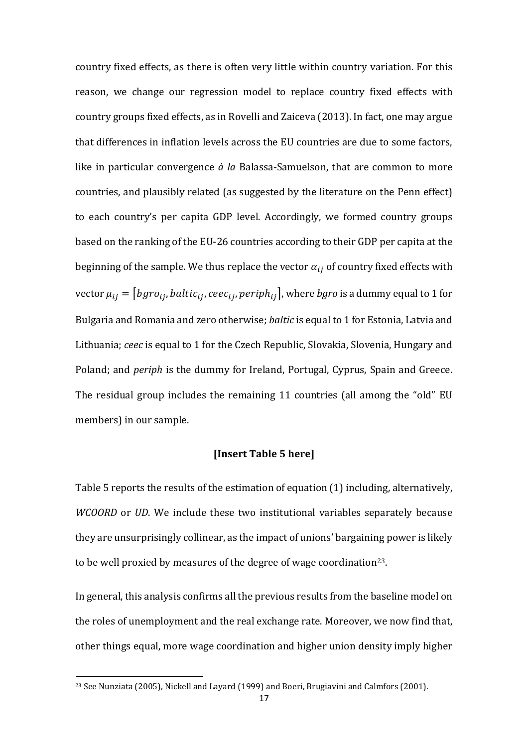country fixed effects, as there is often very little within country variation. For this reason, we change our regression model to replace country fixed effects with country groups fixed effects, as in Rovelli and Zaiceva (2013). In fact, one may argue that differences in inflation levels across the EU countries are due to some factors, like in particular convergence *à la* Balassa-Samuelson, that are common to more countries, and plausibly related (as suggested by the literature on the Penn effect) to each country's per capita GDP level. Accordingly, we formed country groups based on the ranking of the EU-26 countries according to their GDP per capita at the beginning of the sample. We thus replace the vector  $\alpha_{ij}$  of country fixed effects with vector  $\mu_{ij} = [bgro_{ij}, baltic_{ij}, ceec_{ij}, periph_{ij}]$ , where *bgro* is a dummy equal to 1 for Bulgaria and Romania and zero otherwise; *baltic* is equal to 1 for Estonia, Latvia and Lithuania; *ceec* is equal to 1 for the Czech Republic, Slovakia, Slovenia, Hungary and Poland; and *periph* is the dummy for Ireland, Portugal, Cyprus, Spain and Greece. The residual group includes the remaining 11 countries (all among the "old" EU members) in our sample.

#### **[Insert Table 5 here]**

Table 5 reports the results of the estimation of equation (1) including, alternatively, *WCOORD* or *UD*. We include these two institutional variables separately because they are unsurprisingly collinear, as the impact of unions' bargaining power is likely to be well proxied by measures of the degree of wage coordination<sup>23</sup>.

In general, this analysis confirms all the previous results from the baseline model on the roles of unemployment and the real exchange rate. Moreover, we now find that, other things equal, more wage coordination and higher union density imply higher

<sup>&</sup>lt;sup>23</sup> See Nunziata (2005), Nickell and Layard (1999) and Boeri, Brugiavini and Calmfors (2001).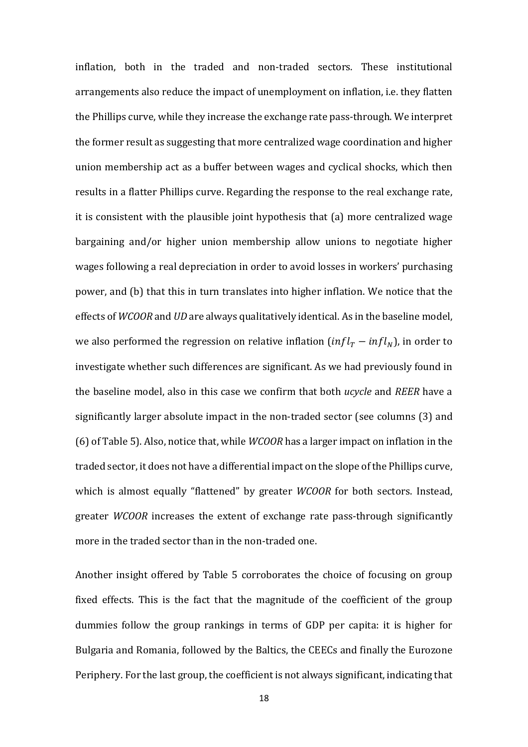inflation, both in the traded and non-traded sectors. These institutional arrangements also reduce the impact of unemployment on inflation, i.e. they flatten the Phillips curve, while they increase the exchange rate pass-through. We interpret the former result as suggesting that more centralized wage coordination and higher union membership act as a buffer between wages and cyclical shocks, which then results in a flatter Phillips curve. Regarding the response to the real exchange rate, it is consistent with the plausible joint hypothesis that (a) more centralized wage bargaining and/or higher union membership allow unions to negotiate higher wages following a real depreciation in order to avoid losses in workers' purchasing power, and (b) that this in turn translates into higher inflation. We notice that the effects of *WCOOR* and *UD* are always qualitatively identical. As in the baseline model, we also performed the regression on relative inflation  $(\inf l_{T}-\inf l_{N})$ , in order to investigate whether such differences are significant. As we had previously found in the baseline model, also in this case we confirm that both *ucycle* and *REER* have a significantly larger absolute impact in the non-traded sector (see columns (3) and (6) of Table 5). Also, notice that, while *WCOOR* has a larger impact on inflation in the traded sector, it does not have a differential impact on the slope of the Phillips curve, which is almost equally "flattened" by greater *WCOOR* for both sectors. Instead, greater *WCOOR* increases the extent of exchange rate pass-through significantly more in the traded sector than in the non-traded one.

Another insight offered by Table 5 corroborates the choice of focusing on group fixed effects. This is the fact that the magnitude of the coefficient of the group dummies follow the group rankings in terms of GDP per capita: it is higher for Bulgaria and Romania, followed by the Baltics, the CEECs and finally the Eurozone Periphery. For the last group, the coefficient is not always significant, indicating that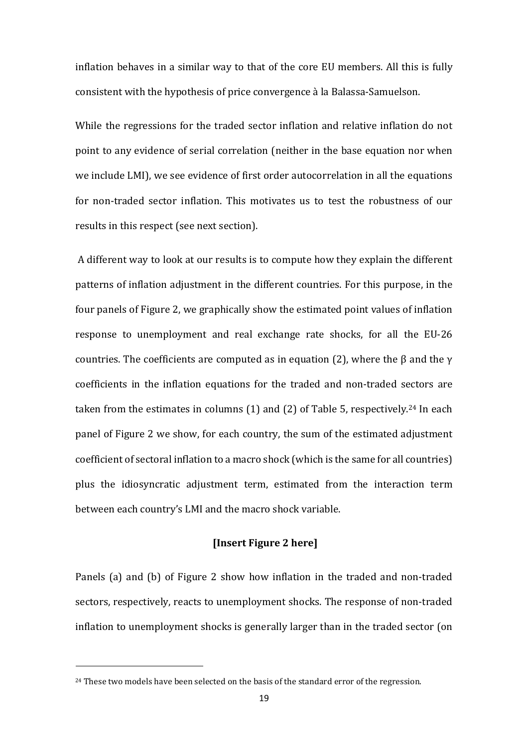inflation behaves in a similar way to that of the core EU members. All this is fully consistent with the hypothesis of price convergence à la Balassa-Samuelson.

While the regressions for the traded sector inflation and relative inflation do not point to any evidence of serial correlation (neither in the base equation nor when we include LMI), we see evidence of first order autocorrelation in all the equations for non-traded sector inflation. This motivates us to test the robustness of our results in this respect (see next section).

A different way to look at our results is to compute how they explain the different patterns of inflation adjustment in the different countries. For this purpose, in the four panels of Figure 2, we graphically show the estimated point values of inflation response to unemployment and real exchange rate shocks, for all the EU-26 countries. The coefficients are computed as in equation (2), where the  $\beta$  and the  $\gamma$ coefficients in the inflation equations for the traded and non-traded sectors are taken from the estimates in columns  $(1)$  and  $(2)$  of Table 5, respectively.<sup>24</sup> In each panel of Figure 2 we show, for each country, the sum of the estimated adjustment coefficient of sectoral inflation to a macro shock (which is the same for all countries) plus the idiosyncratic adjustment term, estimated from the interaction term between each country's LMI and the macro shock variable.

#### **[Insert Figure 2 here]**

Panels (a) and (b) of Figure 2 show how inflation in the traded and non-traded sectors, respectively, reacts to unemployment shocks. The response of non-traded inflation to unemployment shocks is generally larger than in the traded sector (on

 $\overline{\phantom{a}}$ 

<sup>&</sup>lt;sup>24</sup> These two models have been selected on the basis of the standard error of the regression.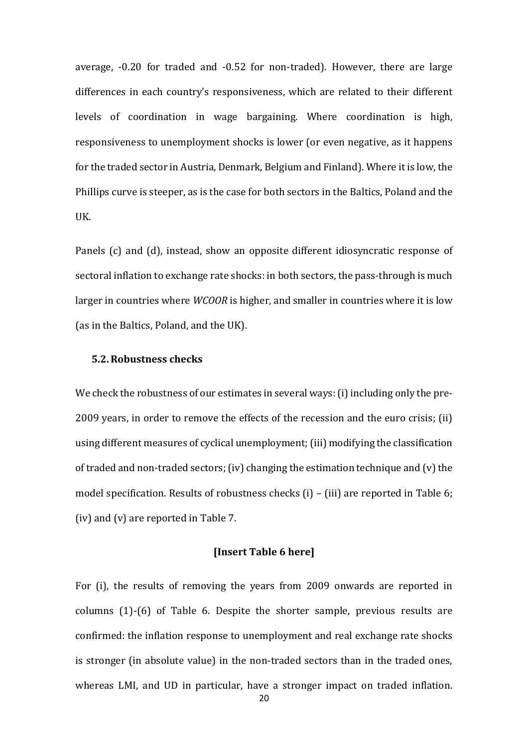average, -0.20 for traded and -0.52 for non-traded). However, there are large differences in each country's responsiveness, which are related to their different levels of coordination in wage bargaining. Where coordination is high, responsiveness to unemployment shocks is lower (or even negative, as it happens for the traded sector in Austria, Denmark, Belgium and Finland). Where it is low, the Phillips curve is steeper, as is the case for both sectors in the Baltics, Poland and the UK.

Panels (c) and (d), instead, show an opposite different idiosyncratic response of sectoral inflation to exchange rate shocks: in both sectors, the pass-through is much larger in countries where *WCOOR* is higher, and smaller in countries where it is low (as in the Baltics, Poland, and the UK).

#### **5.2.Robustness checks**

We check the robustness of our estimates in several ways: (i) including only the pre-2009 years, in order to remove the effects of the recession and the euro crisis; (ii) using different measures of cyclical unemployment; (iii) modifying the classification of traded and non-traded sectors; (iv) changing the estimation technique and (v) the model specification. Results of robustness checks (i) – (iii) are reported in Table 6; (iv) and (v) are reported in Table 7.

#### **[Insert Table 6 here]**

For (i), the results of removing the years from 2009 onwards are reported in columns (1)-(6) of Table 6. Despite the shorter sample, previous results are confirmed: the inflation response to unemployment and real exchange rate shocks is stronger (in absolute value) in the non-traded sectors than in the traded ones, whereas LMI, and UD in particular, have a stronger impact on traded inflation.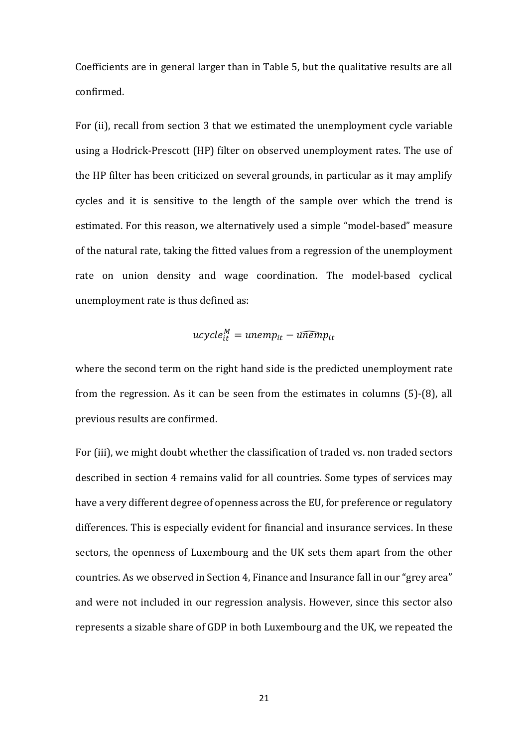Coefficients are in general larger than in Table 5, but the qualitative results are all confirmed.

For (ii), recall from section 3 that we estimated the unemployment cycle variable using a Hodrick-Prescott (HP) filter on observed unemployment rates. The use of the HP filter has been criticized on several grounds, in particular as it may amplify cycles and it is sensitive to the length of the sample over which the trend is estimated. For this reason, we alternatively used a simple "model-based" measure of the natural rate, taking the fitted values from a regression of the unemployment rate on union density and wage coordination. The model-based cyclical unemployment rate is thus defined as:

$$
ucycle^M_{it} = unemp_{it} - \widehat{unemp}_{it}
$$

where the second term on the right hand side is the predicted unemployment rate from the regression. As it can be seen from the estimates in columns (5)-(8), all previous results are confirmed.

For (iii), we might doubt whether the classification of traded vs. non traded sectors described in section 4 remains valid for all countries. Some types of services may have a very different degree of openness across the EU, for preference or regulatory differences. This is especially evident for financial and insurance services. In these sectors, the openness of Luxembourg and the UK sets them apart from the other countries. As we observed in Section 4, Finance and Insurance fall in our "grey area" and were not included in our regression analysis. However, since this sector also represents a sizable share of GDP in both Luxembourg and the UK, we repeated the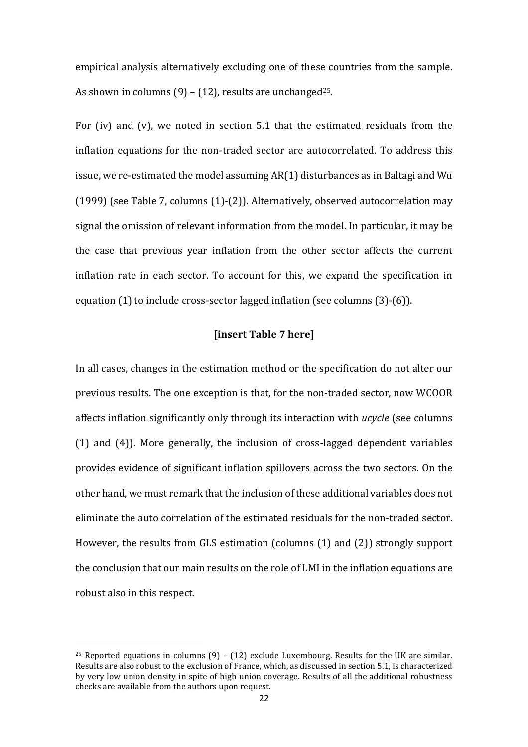empirical analysis alternatively excluding one of these countries from the sample. As shown in columns  $(9) - (12)$ , results are unchanged<sup>25</sup>.

For (iv) and (v), we noted in section 5.1 that the estimated residuals from the inflation equations for the non-traded sector are autocorrelated. To address this issue, we re-estimated the model assuming AR(1) disturbances as in Baltagi and Wu (1999) (see Table 7, columns (1)-(2)). Alternatively, observed autocorrelation may signal the omission of relevant information from the model. In particular, it may be the case that previous year inflation from the other sector affects the current inflation rate in each sector. To account for this, we expand the specification in equation (1) to include cross-sector lagged inflation (see columns (3)-(6)).

#### **[insert Table 7 here]**

In all cases, changes in the estimation method or the specification do not alter our previous results. The one exception is that, for the non-traded sector, now WCOOR affects inflation significantly only through its interaction with *ucycle* (see columns (1) and (4)). More generally, the inclusion of cross-lagged dependent variables provides evidence of significant inflation spillovers across the two sectors. On the other hand, we must remark that the inclusion of these additional variables does not eliminate the auto correlation of the estimated residuals for the non-traded sector. However, the results from GLS estimation (columns (1) and (2)) strongly support the conclusion that our main results on the role of LMI in the inflation equations are robust also in this respect.

<sup>&</sup>lt;sup>25</sup> Reported equations in columns  $(9)$  –  $(12)$  exclude Luxembourg. Results for the UK are similar. Results are also robust to the exclusion of France, which, as discussed in section 5.1, is characterized by very low union density in spite of high union coverage. Results of all the additional robustness checks are available from the authors upon request.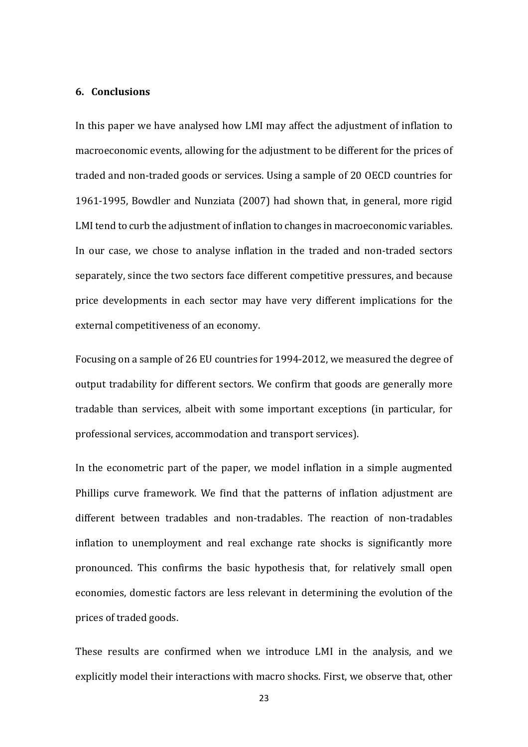#### **6. Conclusions**

In this paper we have analysed how LMI may affect the adjustment of inflation to macroeconomic events, allowing for the adjustment to be different for the prices of traded and non-traded goods or services. Using a sample of 20 OECD countries for 1961-1995, Bowdler and Nunziata (2007) had shown that, in general, more rigid LMI tend to curb the adjustment of inflation to changes in macroeconomic variables. In our case, we chose to analyse inflation in the traded and non-traded sectors separately, since the two sectors face different competitive pressures, and because price developments in each sector may have very different implications for the external competitiveness of an economy.

Focusing on a sample of 26 EU countries for 1994-2012, we measured the degree of output tradability for different sectors. We confirm that goods are generally more tradable than services, albeit with some important exceptions (in particular, for professional services, accommodation and transport services).

In the econometric part of the paper, we model inflation in a simple augmented Phillips curve framework. We find that the patterns of inflation adjustment are different between tradables and non-tradables. The reaction of non-tradables inflation to unemployment and real exchange rate shocks is significantly more pronounced. This confirms the basic hypothesis that, for relatively small open economies, domestic factors are less relevant in determining the evolution of the prices of traded goods.

These results are confirmed when we introduce LMI in the analysis, and we explicitly model their interactions with macro shocks. First, we observe that, other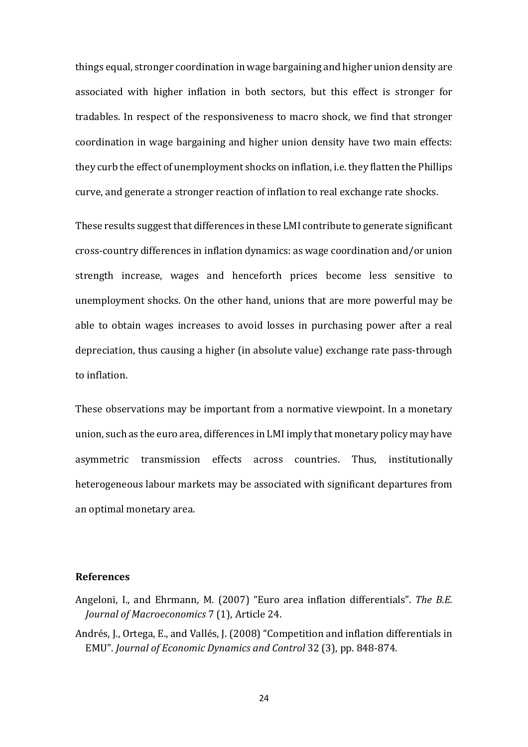things equal, stronger coordination in wage bargaining and higher union density are associated with higher inflation in both sectors, but this effect is stronger for tradables. In respect of the responsiveness to macro shock, we find that stronger coordination in wage bargaining and higher union density have two main effects: they curb the effect of unemployment shocks on inflation, i.e. they flatten the Phillips curve, and generate a stronger reaction of inflation to real exchange rate shocks.

These results suggest that differences in these LMI contribute to generate significant cross-country differences in inflation dynamics: as wage coordination and/or union strength increase, wages and henceforth prices become less sensitive to unemployment shocks. On the other hand, unions that are more powerful may be able to obtain wages increases to avoid losses in purchasing power after a real depreciation, thus causing a higher (in absolute value) exchange rate pass-through to inflation.

These observations may be important from a normative viewpoint. In a monetary union, such as the euro area, differences in LMI imply that monetary policy may have asymmetric transmission effects across countries. Thus, institutionally heterogeneous labour markets may be associated with significant departures from an optimal monetary area.

#### **References**

- Angeloni, I., and Ehrmann, M. (2007) "Euro area inflation differentials". *The B.E. Journal of Macroeconomics* 7 (1), Article 24.
- Andrés, J., Ortega, E., and Vallés, J. (2008) "Competition and inflation differentials in EMU". *Journal of Economic Dynamics and Control* 32 (3), pp. 848-874.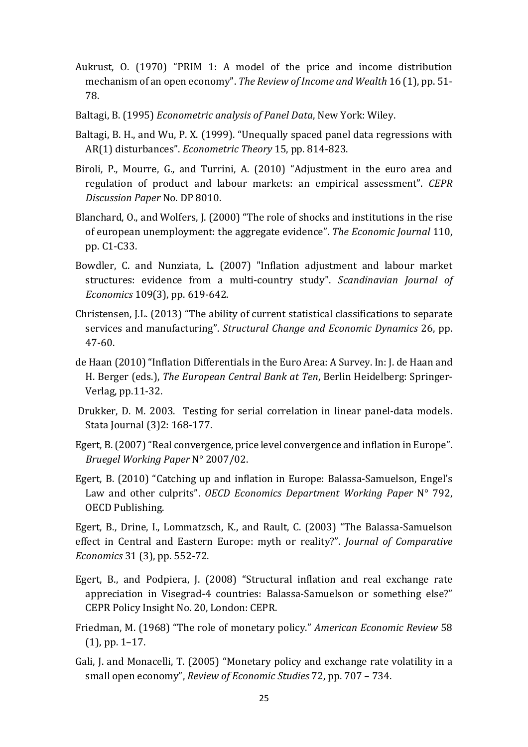- Aukrust, O. (1970) "PRIM 1: A model of the price and income distribution mechanism of an open economy". *The Review of Income and Wealth* 16 (1), pp. 51- 78.
- Baltagi, B. (1995) *Econometric analysis of Panel Data*, New York: Wiley.
- Baltagi, B. H., and Wu, P. X. (1999). "Unequally spaced panel data regressions with AR(1) disturbances". *Econometric Theory* 15, pp. 814-823.
- Biroli, P., Mourre, G., and Turrini, A. (2010) "Adjustment in the euro area and regulation of product and labour markets: an empirical assessment". *CEPR Discussion Paper* No. DP 8010.
- Blanchard, O., and Wolfers, J. (2000) "The role of shocks and institutions in the rise of european unemployment: the aggregate evidence". *The Economic Journal* 110, pp. C1-C33.
- Bowdler, C. and Nunziata, L. (2007) "Inflation adjustment and labour market structures: evidence from a multi-country study". *Scandinavian Journal of Economics* 109(3), pp. 619-642.
- Christensen, J.L. (2013) "The ability of current statistical classifications to separate services and manufacturing". *Structural Change and Economic Dynamics* 26, pp. 47-60.
- de Haan (2010) "Inflation Differentials in the Euro Area: A Survey. In: J. de Haan and H. Berger (eds.), *The European Central Bank at Ten*, Berlin Heidelberg: Springer-Verlag, pp.11-32.
- Drukker, D. M. 2003. Testing for serial correlation in linear panel-data models. Stata Journal (3)2: 168-177.
- Egert, B. (2007) "Real convergence, price level convergence and inflation in Europe". *Bruegel Working Paper* N° 2007/02.
- Egert, B. (2010) "Catching up and inflation in Europe: Balassa-Samuelson, Engel's Law and other culprits". *OECD Economics Department Working Paper* N° 792, OECD Publishing.

Egert, B., Drine, I., Lommatzsch, K., and Rault, C. (2003) "The Balassa-Samuelson effect in Central and Eastern Europe: myth or reality?". *Journal of Comparative Economics* 31 (3), pp. 552-72.

- Egert, B., and Podpiera, J. (2008) "Structural inflation and real exchange rate appreciation in Visegrad-4 countries: Balassa-Samuelson or something else?" CEPR Policy Insight No. 20, London: CEPR.
- Friedman, M. (1968) "The role of monetary policy." *American Economic Review* 58 (1), pp. 1–17.
- Gali, J. and Monacelli, T. (2005) "Monetary policy and exchange rate volatility in a small open economy", *Review of Economic Studies* 72, pp. 707 – 734.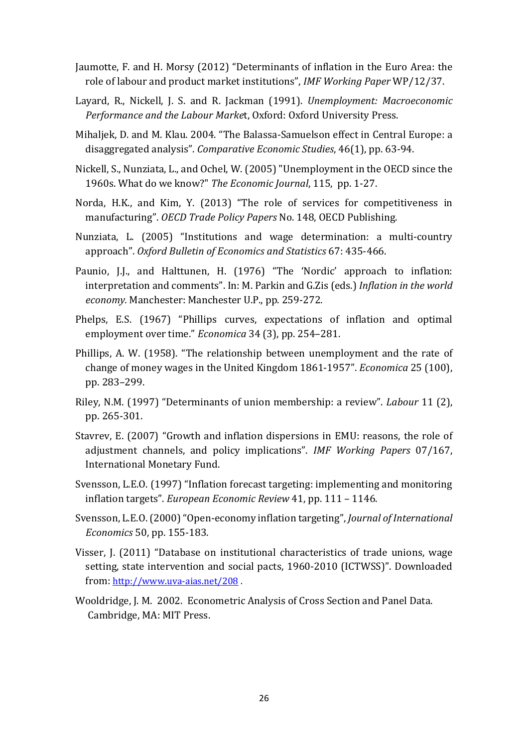- Jaumotte, F. and H. Morsy (2012) "Determinants of inflation in the Euro Area: the role of labour and product market institutions", *IMF Working Paper* WP/12/37.
- Layard, R., Nickell, J. S. and R. Jackman (1991). *Unemployment: Macroeconomic Performance and the Labour Marke*t, Oxford: Oxford University Press.
- Mihaljek, D. and M. Klau. 2004. "The Balassa-Samuelson effect in Central Europe: a disaggregated analysis". *Comparative Economic Studies*, 46(1), pp. 63-94.
- Nickell, S., Nunziata, L., and Ochel, W. (2005) "Unemployment in the OECD since the 1960s. What do we know?" *The Economic Journal*, 115, pp. 1-27.
- Norda, H.K., and Kim, Y. (2013) "The role of services for competitiveness in manufacturing". *OECD Trade Policy Papers* No. 148, OECD Publishing.
- Nunziata, L. (2005) "Institutions and wage determination: a multi-country approach". *Oxford Bulletin of Economics and Statistics* 67: 435-466.
- Paunio, J.J., and Halttunen, H. (1976) "The 'Nordic' approach to inflation: interpretation and comments". In: M. Parkin and G.Zis (eds.) *Inflation in the world economy.* Manchester: Manchester U.P., pp. 259-272.
- Phelps, E.S. (1967) "Phillips curves, expectations of inflation and optimal employment over time." *Economica* 34 (3), pp. 254–281.
- Phillips, A. W. (1958). "The relationship between unemployment and the rate of change of money wages in the United Kingdom 1861-1957". *Economica* 25 (100), pp. 283–299.
- Riley, N.M. (1997) "Determinants of union membership: a review". *Labour* 11 (2), pp. 265-301.
- Stavrev, E. (2007) "Growth and inflation dispersions in EMU: reasons, the role of adjustment channels, and policy implications". *IMF Working Papers* 07/167, International Monetary Fund.
- Svensson, L.E.O. (1997) "Inflation forecast targeting: implementing and monitoring inflation targets". *European Economic Review* 41, pp. 111 – 1146.
- Svensson, L.E.O. (2000) "Open-economy inflation targeting", *Journal of International Economics* 50, pp. 155-183.
- Visser, J. (2011) "Database on institutional characteristics of trade unions, wage setting, state intervention and social pacts, 1960-2010 (ICTWSS)". Downloaded from: http://www.uva-aias.net/208 .
- Wooldridge, J. M. 2002. Econometric Analysis of Cross Section and Panel Data. Cambridge, MA: MIT Press.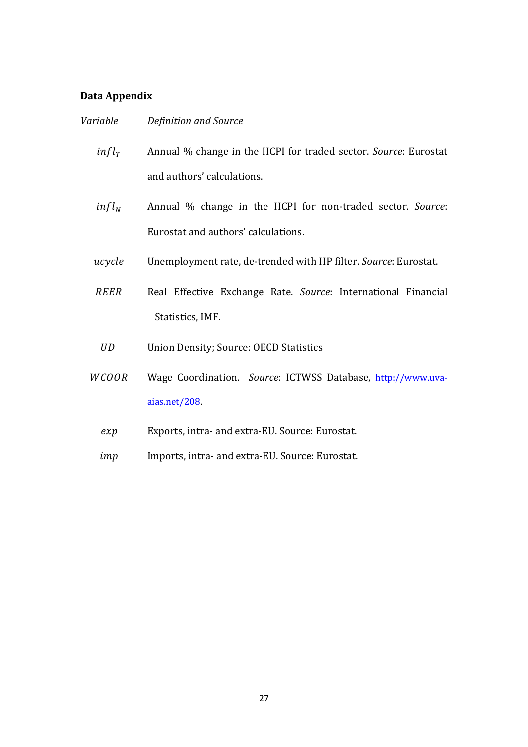## **Data Appendix**

| Variable          | Definition and Source                                           |
|-------------------|-----------------------------------------------------------------|
| infl <sub>T</sub> | Annual % change in the HCPI for traded sector. Source: Eurostat |
|                   | and authors' calculations.                                      |
| $infl_N$          | Annual % change in the HCPI for non-traded sector. Source:      |
|                   | Eurostat and authors' calculations.                             |
| ucycle            | Unemployment rate, de-trended with HP filter. Source: Eurostat. |
| <b>REER</b>       | Real Effective Exchange Rate. Source: International Financial   |
|                   | Statistics, IMF.                                                |
| <b>UD</b>         | <b>Union Density; Source: OECD Statistics</b>                   |
| <b>WCOOR</b>      | Wage Coordination. Source: ICTWSS Database, http://www.uva-     |
|                   | aias.net/208                                                    |
| exp               | Exports, intra- and extra-EU. Source: Eurostat.                 |
| imp               | Imports, intra- and extra-EU. Source: Eurostat.                 |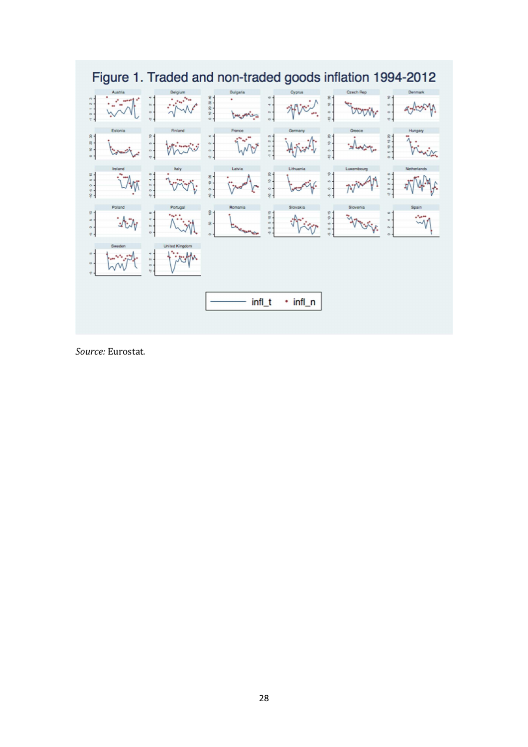

*Source:* Eurostat*.*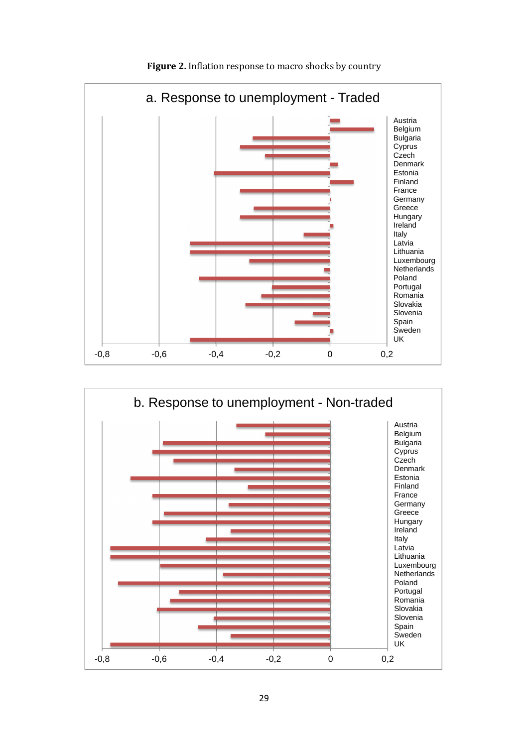

Figure 2. Inflation response to macro shocks by country

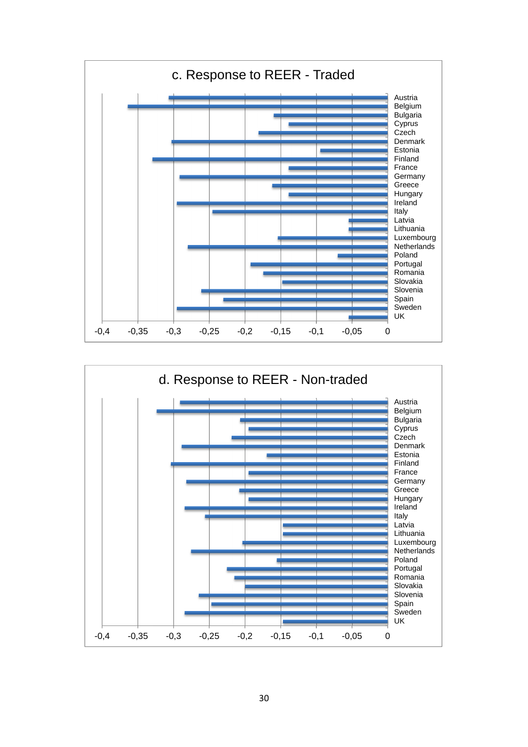

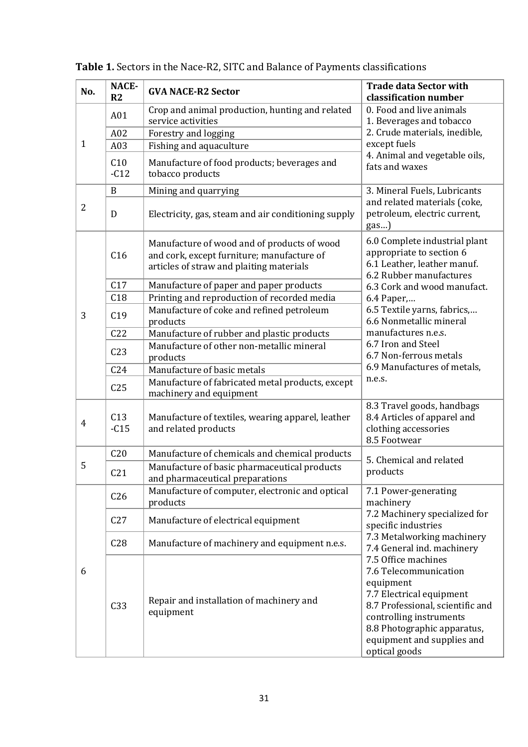| No.            | NACE-<br>R2     | <b>GVA NACE-R2 Sector</b>                                                                                                             | <b>Trade data Sector with</b><br>classification number                                                                                                                                                                             |  |  |  |
|----------------|-----------------|---------------------------------------------------------------------------------------------------------------------------------------|------------------------------------------------------------------------------------------------------------------------------------------------------------------------------------------------------------------------------------|--|--|--|
|                | A01             | Crop and animal production, hunting and related<br>service activities                                                                 | 0. Food and live animals<br>1. Beverages and tobacco                                                                                                                                                                               |  |  |  |
|                | A02             | Forestry and logging                                                                                                                  | 2. Crude materials, inedible,<br>except fuels                                                                                                                                                                                      |  |  |  |
| $\mathbf{1}$   | A03             | Fishing and aquaculture                                                                                                               |                                                                                                                                                                                                                                    |  |  |  |
|                | C10<br>$-C12$   | Manufacture of food products; beverages and<br>tobacco products                                                                       | 4. Animal and vegetable oils,<br>fats and waxes                                                                                                                                                                                    |  |  |  |
|                | B               | Mining and quarrying                                                                                                                  | 3. Mineral Fuels, Lubricants                                                                                                                                                                                                       |  |  |  |
| $\overline{2}$ | D               | Electricity, gas, steam and air conditioning supply                                                                                   | and related materials (coke,<br>petroleum, electric current,<br>gas)                                                                                                                                                               |  |  |  |
| C16            |                 | Manufacture of wood and of products of wood<br>and cork, except furniture; manufacture of<br>articles of straw and plaiting materials | 6.0 Complete industrial plant<br>appropriate to section 6<br>6.1 Leather, leather manuf.<br>6.2 Rubber manufactures                                                                                                                |  |  |  |
|                | C17             | Manufacture of paper and paper products                                                                                               | 6.3 Cork and wood manufact.                                                                                                                                                                                                        |  |  |  |
|                | C18             | Printing and reproduction of recorded media                                                                                           | 6.4 Paper,                                                                                                                                                                                                                         |  |  |  |
| 3              | C19             | Manufacture of coke and refined petroleum<br>products                                                                                 | 6.5 Textile yarns, fabrics,<br>6.6 Nonmetallic mineral                                                                                                                                                                             |  |  |  |
|                | C22             | Manufacture of rubber and plastic products                                                                                            | manufactures n.e.s.                                                                                                                                                                                                                |  |  |  |
|                | C <sub>23</sub> | Manufacture of other non-metallic mineral<br>products                                                                                 | 6.7 Iron and Steel<br>6.7 Non-ferrous metals                                                                                                                                                                                       |  |  |  |
|                | C <sub>24</sub> | Manufacture of basic metals                                                                                                           | 6.9 Manufactures of metals,                                                                                                                                                                                                        |  |  |  |
|                | C <sub>25</sub> | Manufacture of fabricated metal products, except<br>machinery and equipment                                                           | n.e.s.                                                                                                                                                                                                                             |  |  |  |
| $\overline{4}$ | C13<br>$-C15$   | Manufacture of textiles, wearing apparel, leather<br>and related products                                                             | 8.3 Travel goods, handbags<br>8.4 Articles of apparel and<br>clothing accessories<br>8.5 Footwear                                                                                                                                  |  |  |  |
|                | C <sub>20</sub> | Manufacture of chemicals and chemical products                                                                                        | 5. Chemical and related                                                                                                                                                                                                            |  |  |  |
| 5              | C <sub>21</sub> | Manufacture of basic pharmaceutical products<br>and pharmaceutical preparations                                                       | products                                                                                                                                                                                                                           |  |  |  |
|                | C <sub>26</sub> | Manufacture of computer, electronic and optical<br>products                                                                           | 7.1 Power-generating<br>machinery                                                                                                                                                                                                  |  |  |  |
|                | C27             | Manufacture of electrical equipment                                                                                                   | 7.2 Machinery specialized for<br>specific industries                                                                                                                                                                               |  |  |  |
|                | C28             | Manufacture of machinery and equipment n.e.s.                                                                                         | 7.3 Metalworking machinery<br>7.4 General ind. machinery                                                                                                                                                                           |  |  |  |
| 6              | C <sub>33</sub> | Repair and installation of machinery and<br>equipment                                                                                 | 7.5 Office machines<br>7.6 Telecommunication<br>equipment<br>7.7 Electrical equipment<br>8.7 Professional, scientific and<br>controlling instruments<br>8.8 Photographic apparatus,<br>equipment and supplies and<br>optical goods |  |  |  |

**Table 1.** Sectors in the Nace-R2, SITC and Balance of Payments classifications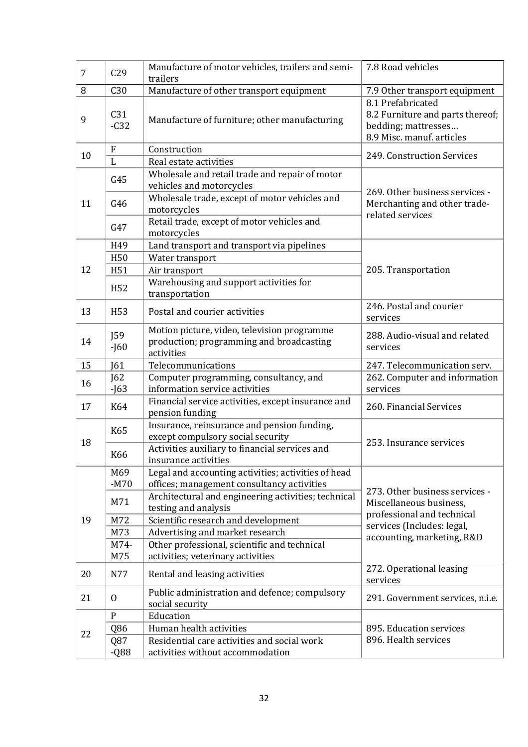| $\overline{7}$ | C <sub>29</sub> | Manufacture of motor vehicles, trailers and semi-<br>trailers                                         | 7.8 Road vehicles                                                                                         |
|----------------|-----------------|-------------------------------------------------------------------------------------------------------|-----------------------------------------------------------------------------------------------------------|
| 8              | C30             | Manufacture of other transport equipment                                                              | 7.9 Other transport equipment                                                                             |
| 9              | C31<br>$-C32$   | Manufacture of furniture; other manufacturing                                                         | 8.1 Prefabricated<br>8.2 Furniture and parts thereof;<br>bedding; mattresses<br>8.9 Misc. manuf. articles |
| 10             | $\overline{F}$  | Construction                                                                                          | 249. Construction Services                                                                                |
|                | $\mathbf{L}$    | Real estate activities                                                                                |                                                                                                           |
|                | G45             | Wholesale and retail trade and repair of motor<br>vehicles and motorcycles                            | 269. Other business services -                                                                            |
| 11             | G46             | Wholesale trade, except of motor vehicles and<br>motorcycles                                          | Merchanting and other trade-<br>related services                                                          |
|                | G47             | Retail trade, except of motor vehicles and<br>motorcycles                                             |                                                                                                           |
|                | H49             | Land transport and transport via pipelines                                                            |                                                                                                           |
|                | H <sub>50</sub> | Water transport                                                                                       |                                                                                                           |
| 12             | H <sub>51</sub> | Air transport                                                                                         | 205. Transportation                                                                                       |
|                | H <sub>52</sub> | Warehousing and support activities for<br>transportation                                              |                                                                                                           |
| 13             | H <sub>53</sub> | Postal and courier activities                                                                         | 246. Postal and courier<br>services                                                                       |
| 14             | J59<br>$-J60$   | Motion picture, video, television programme<br>production; programming and broadcasting<br>activities | 288. Audio-visual and related<br>services                                                                 |
|                |                 |                                                                                                       |                                                                                                           |
| 15             | [61]            | Telecommunications                                                                                    | 247. Telecommunication serv.                                                                              |
|                | J62             | Computer programming, consultancy, and                                                                | 262. Computer and information                                                                             |
| 16             | $-J63$          | information service activities                                                                        | services                                                                                                  |
| 17             | K64             | Financial service activities, except insurance and<br>pension funding                                 | 260. Financial Services                                                                                   |
|                | K65             | Insurance, reinsurance and pension funding,<br>except compulsory social security                      |                                                                                                           |
| 18             | K66             | Activities auxiliary to financial services and<br>insurance activities                                | 253. Insurance services                                                                                   |
|                | M69<br>$-M70$   | Legal and accounting activities; activities of head<br>offices; management consultancy activities     |                                                                                                           |
|                | M71             | Architectural and engineering activities; technical<br>testing and analysis                           | 273. Other business services -<br>Miscellaneous business,                                                 |
| 19             | M72             | Scientific research and development                                                                   | professional and technical                                                                                |
|                | M73             | Advertising and market research                                                                       | services (Includes: legal,                                                                                |
|                | M74-            | Other professional, scientific and technical                                                          | accounting, marketing, R&D                                                                                |
|                | M75             | activities; veterinary activities                                                                     |                                                                                                           |
| 20             | N77             | Rental and leasing activities                                                                         | 272. Operational leasing<br>services                                                                      |
| 21             | $\mathbf{0}$    | Public administration and defence; compulsory<br>social security                                      | 291. Government services, n.i.e.                                                                          |
|                | ${\bf P}$       | Education                                                                                             |                                                                                                           |
|                | Q86             | Human health activities                                                                               | 895. Education services                                                                                   |
| 22             | Q87             | Residential care activities and social work                                                           | 896. Health services                                                                                      |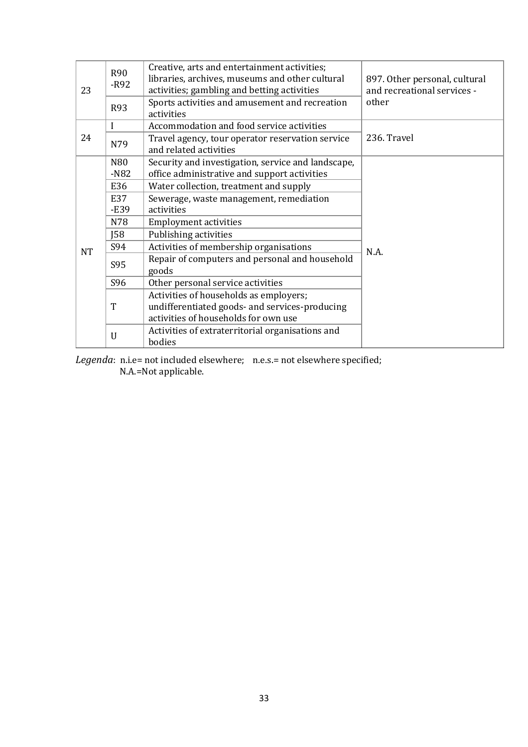| 23        | <b>R90</b><br>$-R92$      | Creative, arts and entertainment activities;<br>libraries, archives, museums and other cultural<br>activities; gambling and betting activities | 897. Other personal, cultural<br>and recreational services - |  |  |
|-----------|---------------------------|------------------------------------------------------------------------------------------------------------------------------------------------|--------------------------------------------------------------|--|--|
|           | <b>R93</b>                | Sports activities and amusement and recreation<br>activities                                                                                   | other                                                        |  |  |
|           | I                         | Accommodation and food service activities                                                                                                      |                                                              |  |  |
| 24        | N79                       | Travel agency, tour operator reservation service<br>and related activities                                                                     | 236. Travel                                                  |  |  |
|           | N <sub>80</sub><br>$-N82$ | Security and investigation, service and landscape,<br>office administrative and support activities                                             |                                                              |  |  |
|           | E36                       | Water collection, treatment and supply                                                                                                         |                                                              |  |  |
|           | E37                       | Sewerage, waste management, remediation                                                                                                        |                                                              |  |  |
|           | $-E39$                    | activities                                                                                                                                     |                                                              |  |  |
|           | N78                       | <b>Employment activities</b>                                                                                                                   |                                                              |  |  |
|           | J58                       | Publishing activities                                                                                                                          |                                                              |  |  |
| <b>NT</b> | S94                       | Activities of membership organisations                                                                                                         | N.A.                                                         |  |  |
|           | S95                       | Repair of computers and personal and household                                                                                                 |                                                              |  |  |
|           |                           | goods                                                                                                                                          |                                                              |  |  |
|           | S96                       | Other personal service activities                                                                                                              |                                                              |  |  |
|           |                           | Activities of households as employers;                                                                                                         |                                                              |  |  |
|           | T                         | undifferentiated goods- and services-producing                                                                                                 |                                                              |  |  |
|           |                           | activities of households for own use                                                                                                           |                                                              |  |  |
|           | U                         | Activities of extraterritorial organisations and                                                                                               |                                                              |  |  |
|           |                           | bodies                                                                                                                                         |                                                              |  |  |

*Legenda*: n.i.e= not included elsewhere; n.e.s.= not elsewhere specified; N.A.=Not applicable.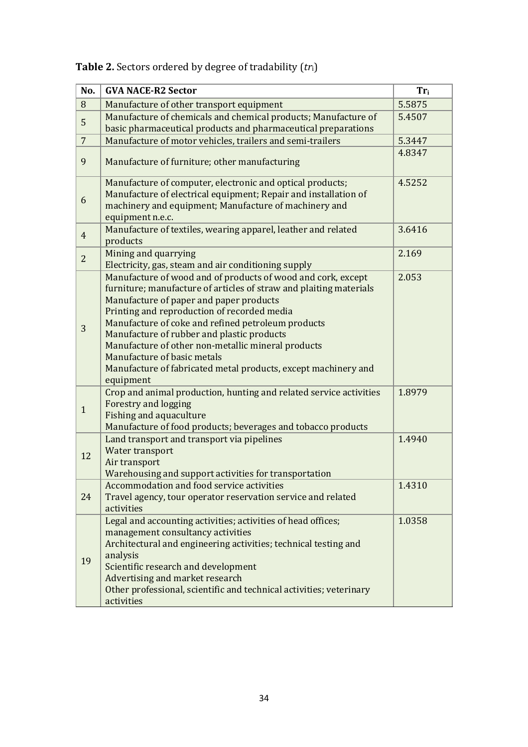| No.            | <b>GVA NACE-R2 Sector</b>                                                                                                                                                                                                                                                                                                                                                                                                                                                                            | $Tr_i$ |
|----------------|------------------------------------------------------------------------------------------------------------------------------------------------------------------------------------------------------------------------------------------------------------------------------------------------------------------------------------------------------------------------------------------------------------------------------------------------------------------------------------------------------|--------|
| 8              | Manufacture of other transport equipment                                                                                                                                                                                                                                                                                                                                                                                                                                                             | 5.5875 |
| 5              | Manufacture of chemicals and chemical products; Manufacture of<br>basic pharmaceutical products and pharmaceutical preparations                                                                                                                                                                                                                                                                                                                                                                      | 5.4507 |
| $\overline{7}$ | Manufacture of motor vehicles, trailers and semi-trailers                                                                                                                                                                                                                                                                                                                                                                                                                                            | 5.3447 |
| 9              | Manufacture of furniture; other manufacturing                                                                                                                                                                                                                                                                                                                                                                                                                                                        | 4.8347 |
| 6              | Manufacture of computer, electronic and optical products;<br>Manufacture of electrical equipment; Repair and installation of<br>machinery and equipment; Manufacture of machinery and<br>equipment n.e.c.                                                                                                                                                                                                                                                                                            | 4.5252 |
| $\overline{4}$ | Manufacture of textiles, wearing apparel, leather and related<br>products                                                                                                                                                                                                                                                                                                                                                                                                                            | 3.6416 |
| $\overline{2}$ | Mining and quarrying<br>Electricity, gas, steam and air conditioning supply                                                                                                                                                                                                                                                                                                                                                                                                                          | 2.169  |
| 3              | Manufacture of wood and of products of wood and cork, except<br>furniture; manufacture of articles of straw and plaiting materials<br>Manufacture of paper and paper products<br>Printing and reproduction of recorded media<br>Manufacture of coke and refined petroleum products<br>Manufacture of rubber and plastic products<br>Manufacture of other non-metallic mineral products<br>Manufacture of basic metals<br>Manufacture of fabricated metal products, except machinery and<br>equipment | 2.053  |
| $\mathbf{1}$   | Crop and animal production, hunting and related service activities<br>Forestry and logging<br><b>Fishing and aquaculture</b><br>Manufacture of food products; beverages and tobacco products                                                                                                                                                                                                                                                                                                         | 1.8979 |
| 12             | Land transport and transport via pipelines<br>Water transport<br>Air transport<br>Warehousing and support activities for transportation                                                                                                                                                                                                                                                                                                                                                              | 1.4940 |
| 24             | Accommodation and food service activities<br>Travel agency, tour operator reservation service and related<br>activities                                                                                                                                                                                                                                                                                                                                                                              | 1.4310 |
| 19             | Legal and accounting activities; activities of head offices;<br>management consultancy activities<br>Architectural and engineering activities; technical testing and<br>analysis<br>Scientific research and development<br>Advertising and market research<br>Other professional, scientific and technical activities; veterinary<br>activities                                                                                                                                                      | 1.0358 |

**Table 2.** Sectors ordered by degree of tradability (*tr*i)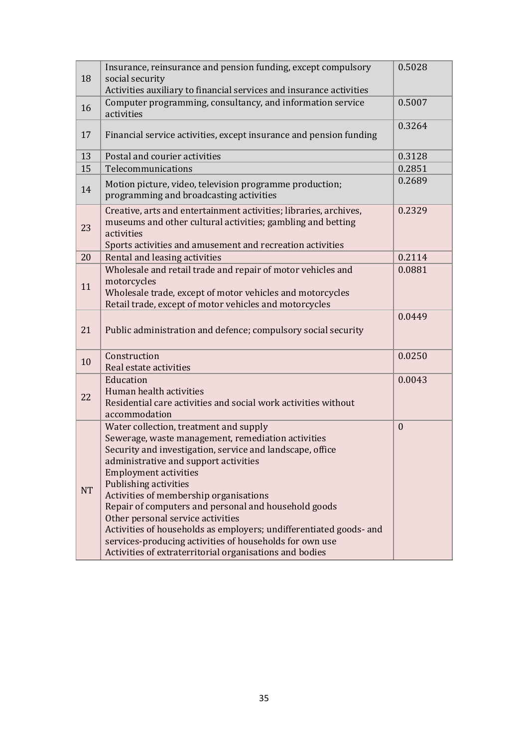| 18        | Insurance, reinsurance and pension funding, except compulsory<br>social security<br>Activities auxiliary to financial services and insurance activities                                                                                                                                                                                                                                                                                                                                                                                                                                        | 0.5028       |
|-----------|------------------------------------------------------------------------------------------------------------------------------------------------------------------------------------------------------------------------------------------------------------------------------------------------------------------------------------------------------------------------------------------------------------------------------------------------------------------------------------------------------------------------------------------------------------------------------------------------|--------------|
| 16        | Computer programming, consultancy, and information service<br>activities                                                                                                                                                                                                                                                                                                                                                                                                                                                                                                                       | 0.5007       |
| 17        | Financial service activities, except insurance and pension funding                                                                                                                                                                                                                                                                                                                                                                                                                                                                                                                             | 0.3264       |
| 13        | Postal and courier activities                                                                                                                                                                                                                                                                                                                                                                                                                                                                                                                                                                  | 0.3128       |
| 15        | Telecommunications                                                                                                                                                                                                                                                                                                                                                                                                                                                                                                                                                                             | 0.2851       |
| 14        | Motion picture, video, television programme production;<br>programming and broadcasting activities                                                                                                                                                                                                                                                                                                                                                                                                                                                                                             | 0.2689       |
| 23        | Creative, arts and entertainment activities; libraries, archives,<br>museums and other cultural activities; gambling and betting<br>activities<br>Sports activities and amusement and recreation activities                                                                                                                                                                                                                                                                                                                                                                                    | 0.2329       |
| 20        | Rental and leasing activities                                                                                                                                                                                                                                                                                                                                                                                                                                                                                                                                                                  | 0.2114       |
| 11        | Wholesale and retail trade and repair of motor vehicles and<br>motorcycles<br>Wholesale trade, except of motor vehicles and motorcycles<br>Retail trade, except of motor vehicles and motorcycles                                                                                                                                                                                                                                                                                                                                                                                              | 0.0881       |
| 21        | Public administration and defence; compulsory social security                                                                                                                                                                                                                                                                                                                                                                                                                                                                                                                                  | 0.0449       |
| 10        | Construction<br>Real estate activities                                                                                                                                                                                                                                                                                                                                                                                                                                                                                                                                                         | 0.0250       |
| 22        | Education<br>Human health activities<br>Residential care activities and social work activities without<br>accommodation                                                                                                                                                                                                                                                                                                                                                                                                                                                                        | 0.0043       |
| <b>NT</b> | Water collection, treatment and supply<br>Sewerage, waste management, remediation activities<br>Security and investigation, service and landscape, office<br>administrative and support activities<br><b>Employment activities</b><br>Publishing activities<br>Activities of membership organisations<br>Repair of computers and personal and household goods<br>Other personal service activities<br>Activities of households as employers; undifferentiated goods- and<br>services-producing activities of households for own use<br>Activities of extraterritorial organisations and bodies | $\mathbf{0}$ |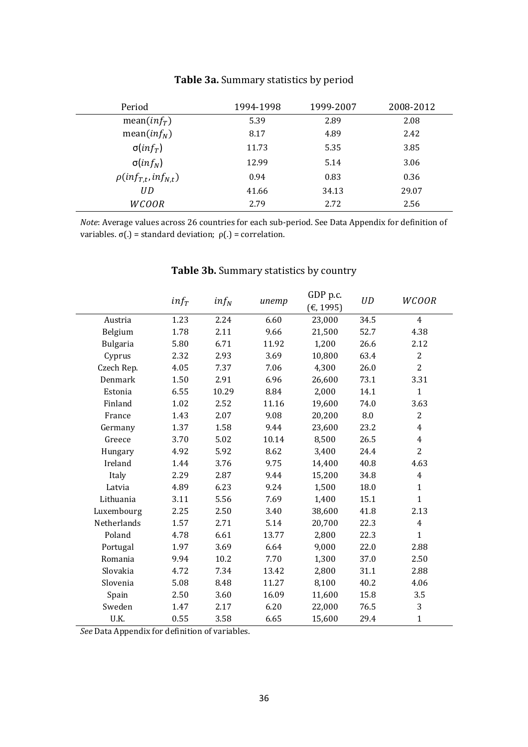| Period                        | 1994-1998 | 1999-2007 | 2008-2012 |
|-------------------------------|-----------|-----------|-----------|
| mean( $inf_T$ )               | 5.39      | 2.89      | 2.08      |
| mean( $inf_N$ )               | 8.17      | 4.89      | 2.42      |
| $\sigma(inf_T)$               | 11.73     | 5.35      | 3.85      |
| $\sigma(inf_N)$               | 12.99     | 5.14      | 3.06      |
| $\rho(\inf_{T,t},\inf_{N,t})$ | 0.94      | 0.83      | 0.36      |
| UD                            | 41.66     | 34.13     | 29.07     |
| <b>WCOOR</b>                  | 2.79      | 2.72      | 2.56      |

### **Table 3a.** Summary statistics by period

*Note*: Average values across 26 countries for each sub-period. See Data Appendix for definition of variables. σ(.) = standard deviation; ρ(.) = correlation.

|                 | $inf_T$ | $inf_N$ | unemp | GDP p.c.<br>(€, 1995) | <b>UD</b> | WCOOR          |
|-----------------|---------|---------|-------|-----------------------|-----------|----------------|
| Austria         | 1.23    | 2.24    | 6.60  | 23,000                | 34.5      | $\overline{4}$ |
| Belgium         | 1.78    | 2.11    | 9.66  | 21,500                | 52.7      | 4.38           |
| <b>Bulgaria</b> | 5.80    | 6.71    | 11.92 | 1,200                 | 26.6      | 2.12           |
| Cyprus          | 2.32    | 2.93    | 3.69  | 10,800                | 63.4      | $\overline{2}$ |
| Czech Rep.      | 4.05    | 7.37    | 7.06  | 4,300                 | 26.0      | $\overline{2}$ |
| Denmark         | 1.50    | 2.91    | 6.96  | 26,600                | 73.1      | 3.31           |
| Estonia         | 6.55    | 10.29   | 8.84  | 2,000                 | 14.1      | $\mathbf{1}$   |
| Finland         | 1.02    | 2.52    | 11.16 | 19,600                | 74.0      | 3.63           |
| France          | 1.43    | 2.07    | 9.08  | 20,200                | 8.0       | $\overline{c}$ |
| Germany         | 1.37    | 1.58    | 9.44  | 23,600                | 23.2      | $\overline{4}$ |
| Greece          | 3.70    | 5.02    | 10.14 | 8,500                 | 26.5      | $\overline{4}$ |
| Hungary         | 4.92    | 5.92    | 8.62  | 3,400                 | 24.4      | $\overline{c}$ |
| Ireland         | 1.44    | 3.76    | 9.75  | 14,400                | 40.8      | 4.63           |
| Italy           | 2.29    | 2.87    | 9.44  | 15,200                | 34.8      | 4              |
| Latvia          | 4.89    | 6.23    | 9.24  | 1,500                 | 18.0      | $\mathbf{1}$   |
| Lithuania       | 3.11    | 5.56    | 7.69  | 1,400                 | 15.1      | $\mathbf{1}$   |
| Luxembourg      | 2.25    | 2.50    | 3.40  | 38,600                | 41.8      | 2.13           |
| Netherlands     | 1.57    | 2.71    | 5.14  | 20,700                | 22.3      | $\overline{4}$ |
| Poland          | 4.78    | 6.61    | 13.77 | 2,800                 | 22.3      | $\mathbf{1}$   |
| Portugal        | 1.97    | 3.69    | 6.64  | 9,000                 | 22.0      | 2.88           |
| Romania         | 9.94    | 10.2    | 7.70  | 1,300                 | 37.0      | 2.50           |
| Slovakia        | 4.72    | 7.34    | 13.42 | 2,800                 | 31.1      | 2.88           |
| Slovenia        | 5.08    | 8.48    | 11.27 | 8,100                 | 40.2      | 4.06           |
| Spain           | 2.50    | 3.60    | 16.09 | 11,600                | 15.8      | 3.5            |
| Sweden          | 1.47    | 2.17    | 6.20  | 22,000                | 76.5      | 3              |
| U.K.            | 0.55    | 3.58    | 6.65  | 15,600                | 29.4      | $\mathbf{1}$   |

## **Table 3b.** Summary statistics by country

*See* Data Appendix for definition of variables.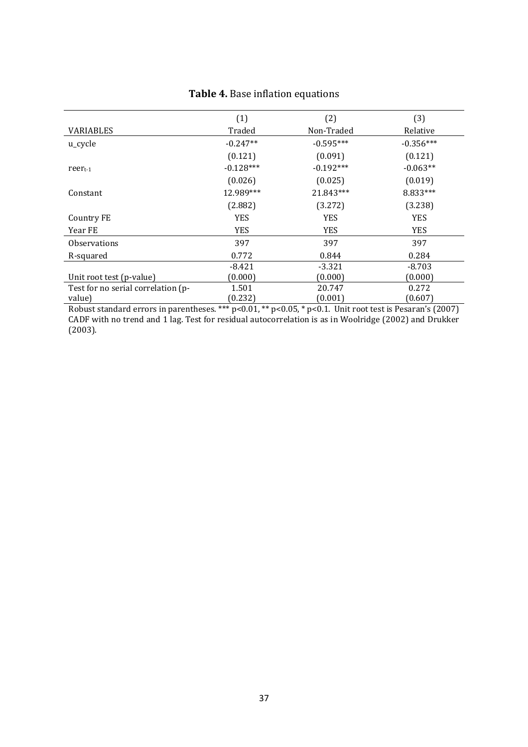|                                    | (1)         | (2)         | (3)         |
|------------------------------------|-------------|-------------|-------------|
| <b>VARIABLES</b>                   | Traded      | Non-Traded  | Relative    |
| u_cycle                            | $-0.247**$  | $-0.595***$ | $-0.356***$ |
|                                    | (0.121)     | (0.091)     | (0.121)     |
| $reer_{t-1}$                       | $-0.128***$ | $-0.192***$ | $-0.063**$  |
|                                    | (0.026)     | (0.025)     | (0.019)     |
| Constant                           | 12.989***   | 21.843***   | 8.833***    |
|                                    | (2.882)     | (3.272)     | (3.238)     |
| Country FE                         | <b>YES</b>  | <b>YES</b>  | <b>YES</b>  |
| Year FE                            | <b>YES</b>  | <b>YES</b>  | <b>YES</b>  |
| <b>Observations</b>                | 397         | 397         | 397         |
| R-squared                          | 0.772       | 0.844       | 0.284       |
|                                    | -8.421      | $-3.321$    | $-8.703$    |
| Unit root test (p-value)           | (0.000)     | (0.000)     | (0.000)     |
| Test for no serial correlation (p- | 1.501       | 20.747      | 0.272       |
| value)                             | (0.232)     | (0.001)     | (0.607)     |

### **Table 4.** Base inflation equations

Robust standard errors in parentheses. \*\*\* p<0.01, \*\* p<0.05, \* p<0.1. Unit root test is Pesaran's (2007) CADF with no trend and 1 lag. Test for residual autocorrelation is as in Woolridge (2002) and Drukker (2003).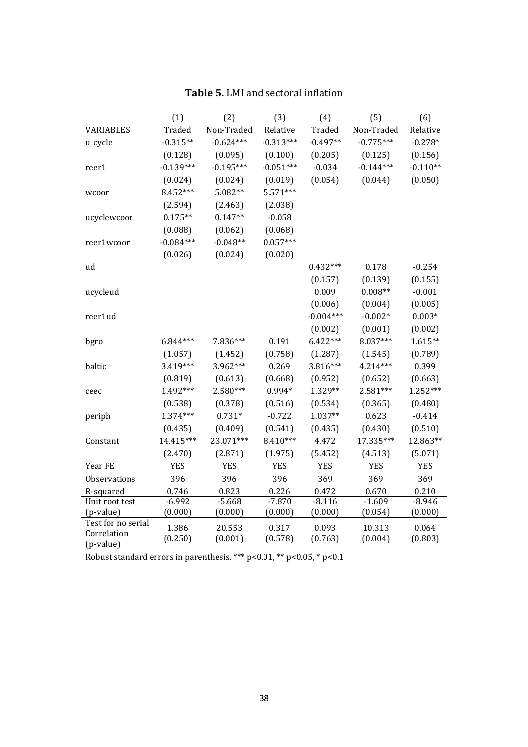|                                   | (1)         | (2)         | (3)         | (4)         | (5)         | (6)        |
|-----------------------------------|-------------|-------------|-------------|-------------|-------------|------------|
| <b>VARIABLES</b>                  | Traded      | Non-Traded  | Relative    | Traded      | Non-Traded  | Relative   |
| u_cycle                           | $-0.315**$  | $-0.624***$ | $-0.313***$ | $-0.497**$  | $-0.775***$ | $-0.278*$  |
|                                   | (0.128)     | (0.095)     | (0.100)     | (0.205)     | (0.125)     | (0.156)    |
| reer1                             | $-0.139***$ | $-0.195***$ | $-0.051***$ | $-0.034$    | $-0.144***$ | $-0.110**$ |
|                                   | (0.024)     | (0.024)     | (0.019)     | (0.054)     | (0.044)     | (0.050)    |
| wcoor                             | 8.452***    | 5.082**     | 5.571***    |             |             |            |
|                                   | (2.594)     | (2.463)     | (2.038)     |             |             |            |
| ucyclewcoor                       | $0.175**$   | $0.147**$   | $-0.058$    |             |             |            |
|                                   | (0.088)     | (0.062)     | (0.068)     |             |             |            |
| reer1wcoor                        | $-0.084***$ | $-0.048**$  | $0.057***$  |             |             |            |
|                                   | (0.026)     | (0.024)     | (0.020)     |             |             |            |
| ud                                |             |             |             | $0.432***$  | 0.178       | $-0.254$   |
|                                   |             |             |             | (0.157)     | (0.139)     | (0.155)    |
| ucycleud                          |             |             |             | 0.009       | $0.008**$   | $-0.001$   |
|                                   |             |             |             | (0.006)     | (0.004)     | (0.005)    |
| reer1ud                           |             |             |             | $-0.004***$ | $-0.002*$   | $0.003*$   |
|                                   |             |             |             | (0.002)     | (0.001)     | (0.002)    |
| bgro                              | 6.844***    | 7.836***    | 0.191       | $6.422***$  | 8.037***    | $1.615**$  |
|                                   | (1.057)     | (1.452)     | (0.758)     | (1.287)     | (1.545)     | (0.789)    |
| baltic                            | 3.419***    | 3.962***    | 0.269       | 3.816***    | 4.214***    | 0.399      |
|                                   | (0.819)     | (0.613)     | (0.668)     | (0.952)     | (0.652)     | (0.663)    |
| ceec                              | 1.492***    | 2.580***    | 0.994*      | 1.329**     | 2.581***    | 1.252***   |
|                                   | (0.538)     | (0.378)     | (0.516)     | (0.534)     | (0.365)     | (0.480)    |
| periph                            | 1.374***    | $0.731*$    | $-0.722$    | 1.037**     | 0.623       | $-0.414$   |
|                                   | (0.435)     | (0.409)     | (0.541)     | (0.435)     | (0.430)     | (0.510)    |
| Constant                          | 14.415***   | 23.071***   | 8.410***    | 4.472       | 17.335***   | 12.863**   |
|                                   | (2.470)     | (2.871)     | (1.975)     | (5.452)     | (4.513)     | (5.071)    |
| Year FE                           | <b>YES</b>  | <b>YES</b>  | <b>YES</b>  | <b>YES</b>  | <b>YES</b>  | <b>YES</b> |
| Observations                      | 396         | 396         | 396         | 369         | 369         | 369        |
| R-squared                         | 0.746       | 0.823       | 0.226       | 0.472       | 0.670       | 0.210      |
| Unit root test                    | $-6.992$    | $-5.668$    | $-7.870$    | $-8.116$    | $-1.609$    | $-8.946$   |
| (p-value)                         | (0.000)     | (0.000)     | (0.000)     | (0.000)     | (0.054)     | (0.000)    |
| Test for no serial<br>Correlation | 1.386       | 20.553      | 0.317       | 0.093       | 10.313      | 0.064      |
| (p-value)                         | (0.250)     | (0.001)     | (0.578)     | (0.763)     | (0.004)     | (0.803)    |

**Table 5.** LMI and sectoral inflation

Robust standard errors in parenthesis. \*\*\* p<0.01, \*\* p<0.05, \* p<0.1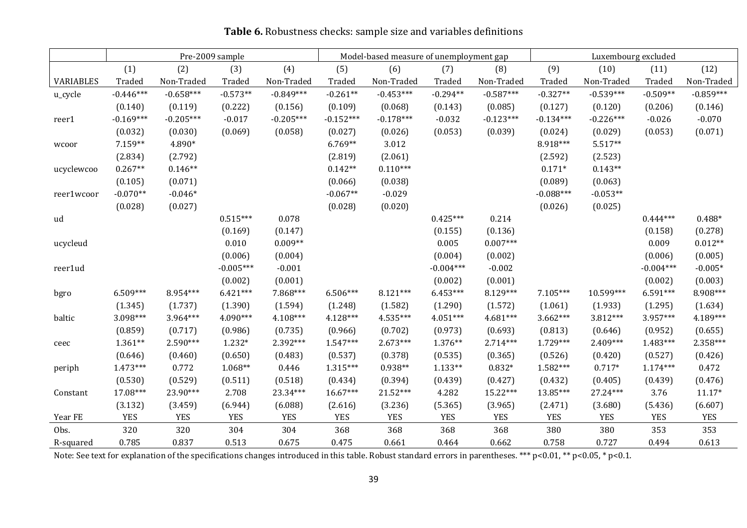|                  | Pre-2009 sample |             |             | Model-based measure of unemployment gap |             |             | Luxembourg excluded |             |             |             |             |             |
|------------------|-----------------|-------------|-------------|-----------------------------------------|-------------|-------------|---------------------|-------------|-------------|-------------|-------------|-------------|
|                  | (1)             | (2)         | (3)         | (4)                                     | (5)         | (6)         | (7)                 | (8)         | (9)         | (10)        | (11)        | (12)        |
| <b>VARIABLES</b> | Traded          | Non-Traded  | Traded      | Non-Traded                              | Traded      | Non-Traded  | Traded              | Non-Traded  | Traded      | Non-Traded  | Traded      | Non-Traded  |
| u_cycle          | $-0.446***$     | $-0.658***$ | $-0.573**$  | $-0.849***$                             | $-0.261**$  | $-0.453***$ | $-0.294**$          | $-0.587***$ | $-0.327**$  | $-0.539***$ | $-0.509**$  | $-0.859***$ |
|                  | (0.140)         | (0.119)     | (0.222)     | (0.156)                                 | (0.109)     | (0.068)     | (0.143)             | (0.085)     | (0.127)     | (0.120)     | (0.206)     | (0.146)     |
| reer1            | $-0.169***$     | $-0.205***$ | $-0.017$    | $-0.205***$                             | $-0.152***$ | $-0.178***$ | $-0.032$            | $-0.123***$ | $-0.134***$ | $-0.226***$ | $-0.026$    | $-0.070$    |
|                  | (0.032)         | (0.030)     | (0.069)     | (0.058)                                 | (0.027)     | (0.026)     | (0.053)             | (0.039)     | (0.024)     | (0.029)     | (0.053)     | (0.071)     |
| wcoor            | 7.159**         | 4.890*      |             |                                         | $6.769**$   | 3.012       |                     |             | 8.918***    | $5.517**$   |             |             |
|                  | (2.834)         | (2.792)     |             |                                         | (2.819)     | (2.061)     |                     |             | (2.592)     | (2.523)     |             |             |
| ucyclewcoo       | $0.267**$       | $0.146**$   |             |                                         | $0.142**$   | $0.110***$  |                     |             | $0.171*$    | $0.143**$   |             |             |
|                  | (0.105)         | (0.071)     |             |                                         | (0.066)     | (0.038)     |                     |             | (0.089)     | (0.063)     |             |             |
| reer1wcoor       | $-0.070**$      | $-0.046*$   |             |                                         | $-0.067**$  | $-0.029$    |                     |             | $-0.088***$ | $-0.053**$  |             |             |
|                  | (0.028)         | (0.027)     |             |                                         | (0.028)     | (0.020)     |                     |             | (0.026)     | (0.025)     |             |             |
| ud               |                 |             | $0.515***$  | 0.078                                   |             |             | $0.425***$          | 0.214       |             |             | $0.444***$  | $0.488*$    |
|                  |                 |             | (0.169)     | (0.147)                                 |             |             | (0.155)             | (0.136)     |             |             | (0.158)     | (0.278)     |
| ucycleud         |                 |             | 0.010       | $0.009**$                               |             |             | 0.005               | $0.007***$  |             |             | 0.009       | $0.012**$   |
|                  |                 |             | (0.006)     | (0.004)                                 |             |             | (0.004)             | (0.002)     |             |             | (0.006)     | (0.005)     |
| reer1ud          |                 |             | $-0.005***$ | $-0.001$                                |             |             | $-0.004***$         | $-0.002$    |             |             | $-0.004***$ | $-0.005*$   |
|                  |                 |             | (0.002)     | (0.001)                                 |             |             | (0.002)             | (0.001)     |             |             | (0.002)     | (0.003)     |
| bgro             | $6.509***$      | 8.954***    | $6.421***$  | 7.868***                                | $6.506***$  | $8.121***$  | $6.453***$          | 8.129***    | $7.105***$  | 10.599***   | $6.591***$  | 8.908***    |
|                  | (1.345)         | (1.737)     | (1.390)     | (1.594)                                 | (1.248)     | (1.582)     | (1.290)             | (1.572)     | (1.061)     | (1.933)     | (1.295)     | (1.634)     |
| baltic           | 3.098***        | 3.964***    | 4.090***    | 4.108***                                | $4.128***$  | $4.535***$  | 4.051***            | 4.681***    | $3.662***$  | $3.812***$  | 3.957***    | 4.189***    |
|                  | (0.859)         | (0.717)     | (0.986)     | (0.735)                                 | (0.966)     | (0.702)     | (0.973)             | (0.693)     | (0.813)     | (0.646)     | (0.952)     | (0.655)     |
| ceec             | $1.361**$       | 2.590***    | $1.232*$    | 2.392***                                | $1.547***$  | $2.673***$  | 1.376**             | $2.714***$  | 1.729***    | 2.409***    | $1.483***$  | 2.358***    |
|                  | (0.646)         | (0.460)     | (0.650)     | (0.483)                                 | (0.537)     | (0.378)     | (0.535)             | (0.365)     | (0.526)     | (0.420)     | (0.527)     | (0.426)     |
| periph           | $1.473***$      | 0.772       | 1.068**     | 0.446                                   | $1.315***$  | $0.938**$   | $1.133**$           | $0.832*$    | 1.582***    | $0.717*$    | $1.174***$  | 0.472       |
|                  | (0.530)         | (0.529)     | (0.511)     | (0.518)                                 | (0.434)     | (0.394)     | (0.439)             | (0.427)     | (0.432)     | (0.405)     | (0.439)     | (0.476)     |
| Constant         | 17.08***        | 23.90***    | 2.708       | 23.34***                                | $16.67***$  | $21.52***$  | 4.282               | 15.22***    | 13.85***    | 27.24***    | 3.76        | $11.17*$    |
|                  | (3.132)         | (3.459)     | (6.944)     | (6.088)                                 | (2.616)     | (3.236)     | (5.365)             | (3.965)     | (2.471)     | (3.680)     | (5.436)     | (6.607)     |
| Year FE          | <b>YES</b>      | <b>YES</b>  | <b>YES</b>  | <b>YES</b>                              | <b>YES</b>  | <b>YES</b>  | <b>YES</b>          | <b>YES</b>  | <b>YES</b>  | <b>YES</b>  | <b>YES</b>  | <b>YES</b>  |
| Obs.             | 320             | 320         | 304         | 304                                     | 368         | 368         | 368                 | 368         | 380         | 380         | 353         | 353         |
| R-squared        | 0.785           | 0.837       | 0.513       | 0.675                                   | 0.475       | 0.661       | 0.464               | 0.662       | 0.758       | 0.727       | 0.494       | 0.613       |

**Table 6.** Robustness checks: sample size and variables definitions

Note: See text for explanation of the specifications changes introduced in this table. Robust standard errors in parentheses. \*\*\* p<0.01, \*\* p<0.05, \* p<0.1.